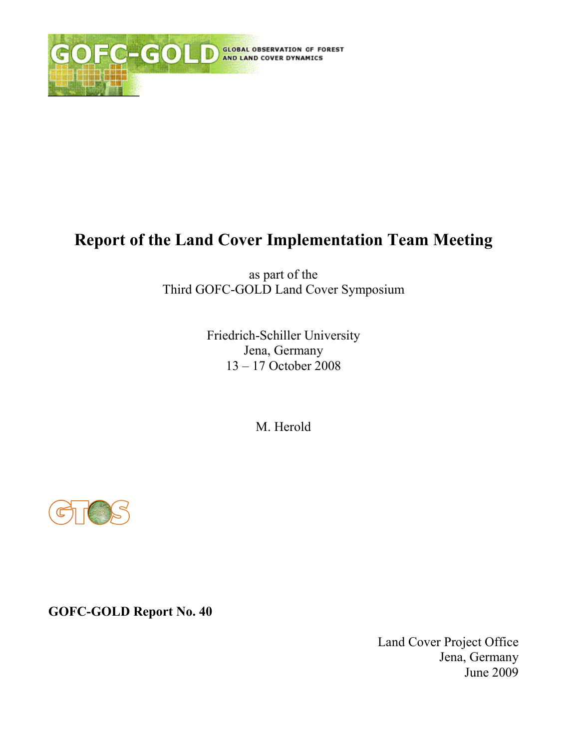

# **Report of the Land Cover Implementation Team Meeting**

as part of the Third GOFC-GOLD Land Cover Symposium

> Friedrich-Schiller University Jena, Germany  $13 - 17$  October 2008

> > M. Herold



**GOFC-GOLD Report No. 40** 

Land Cover Project Office Jena, Germany June 2009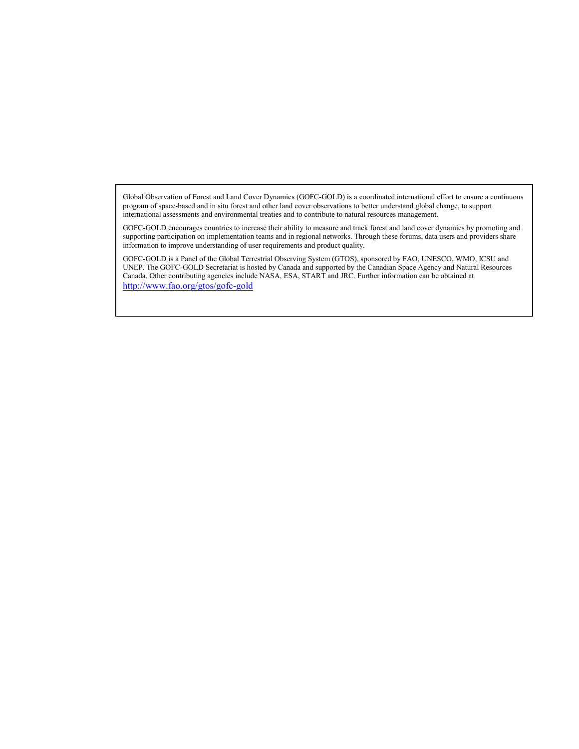Global Observation of Forest and Land Cover Dynamics (GOFC-GOLD) is a coordinated international effort to ensure a continuous program of space-based and in situ forest and other land cover observations to better understand global change, to support international assessments and environmental treaties and to contribute to natural resources management.

GOFC-GOLD encourages countries to increase their ability to measure and track forest and land cover dynamics by promoting and supporting participation on implementation teams and in regional networks. Through these forums, data users and providers share information to improve understanding of user requirements and product quality.

GOFC-GOLD is a Panel of the Global Terrestrial Observing System (GTOS), sponsored by FAO, UNESCO, WMO, ICSU and UNEP. The GOFC-GOLD Secretariat is hosted by Canada and supported by the Canadian Space Agency and Natural Resources Canada. Other contributing agencies include NASA, ESA, START and JRC. Further information can be obtained at http://www.fao.org/gtos/gofc-gold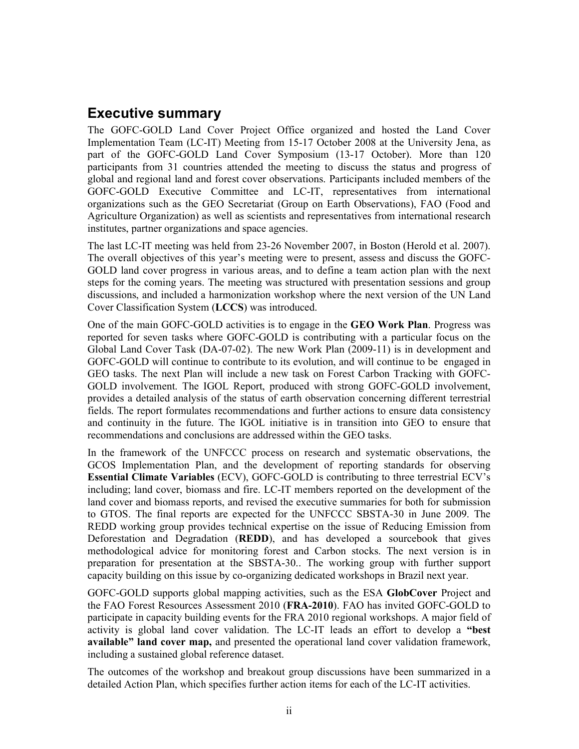## **Executive summary**

The GOFC-GOLD Land Cover Project Office organized and hosted the Land Cover Implementation Team (LC-IT) Meeting from 15-17 October 2008 at the University Jena, as part of the GOFC-GOLD Land Cover Symposium (13-17 October). More than 120 participants from 31 countries attended the meeting to discuss the status and progress of global and regional land and forest cover observations. Participants included members of the GOFC-GOLD Executive Committee and LC-IT, representatives from international organizations such as the GEO Secretariat (Group on Earth Observations), FAO (Food and Agriculture Organization) as well as scientists and representatives from international research institutes, partner organizations and space agencies.

The last LC-IT meeting was held from 23-26 November 2007, in Boston (Herold et al. 2007). The overall objectives of this year's meeting were to present, assess and discuss the GOFC-GOLD land cover progress in various areas, and to define a team action plan with the next steps for the coming years. The meeting was structured with presentation sessions and group discussions, and included a harmonization workshop where the next version of the UN Land Cover Classification System (LCCS) was introduced.

One of the main GOFC-GOLD activities is to engage in the GEO Work Plan. Progress was reported for seven tasks where GOFC-GOLD is contributing with a particular focus on the Global Land Cover Task (DA-07-02). The new Work Plan (2009-11) is in development and GOFC-GOLD will continue to contribute to its evolution, and will continue to be engaged in GEO tasks. The next Plan will include a new task on Forest Carbon Tracking with GOFC-GOLD involvement. The IGOL Report, produced with strong GOFC-GOLD involvement, provides a detailed analysis of the status of earth observation concerning different terrestrial fields. The report formulates recommendations and further actions to ensure data consistency and continuity in the future. The IGOL initiative is in transition into GEO to ensure that recommendations and conclusions are addressed within the GEO tasks.

In the framework of the UNFCCC process on research and systematic observations, the GCOS Implementation Plan, and the development of reporting standards for observing **Essential Climate Variables** (ECV), GOFC-GOLD is contributing to three terrestrial ECV's including; land cover, biomass and fire. LC-IT members reported on the development of the land cover and biomass reports, and revised the executive summaries for both for submission to GTOS. The final reports are expected for the UNFCCC SBSTA-30 in June 2009. The REDD working group provides technical expertise on the issue of Reducing Emission from Deforestation and Degradation (REDD), and has developed a sourcebook that gives methodological advice for monitoring forest and Carbon stocks. The next version is in preparation for presentation at the SBSTA-30. The working group with further support capacity building on this issue by co-organizing dedicated workshops in Brazil next year.

GOFC-GOLD supports global mapping activities, such as the ESA GlobCover Project and the FAO Forest Resources Assessment 2010 (FRA-2010). FAO has invited GOFC-GOLD to participate in capacity building events for the FRA 2010 regional workshops. A major field of activity is global land cover validation. The LC-IT leads an effort to develop a "best" available" land cover map, and presented the operational land cover validation framework, including a sustained global reference dataset.

The outcomes of the workshop and breakout group discussions have been summarized in a detailed Action Plan, which specifies further action items for each of the LC-IT activities.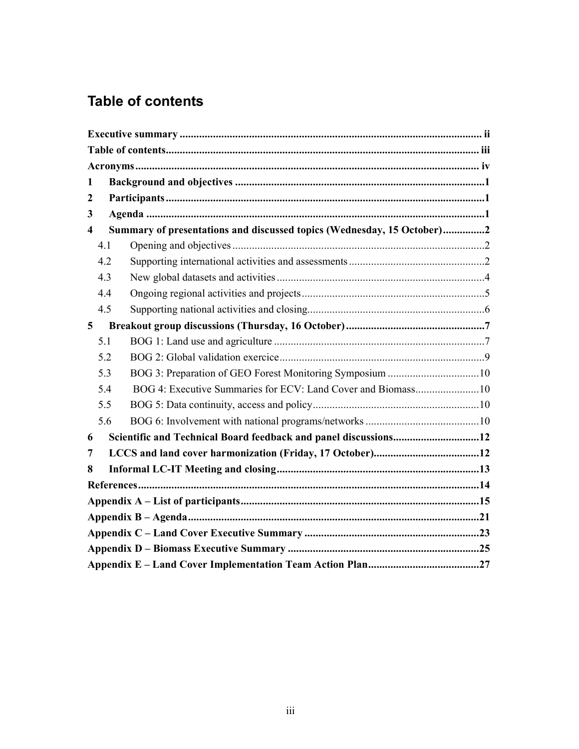# **Table of contents**

| $\mathbf{1}$            |                                                                        |  |  |  |  |
|-------------------------|------------------------------------------------------------------------|--|--|--|--|
| $\boldsymbol{2}$        |                                                                        |  |  |  |  |
| 3                       |                                                                        |  |  |  |  |
| $\overline{\mathbf{4}}$ | Summary of presentations and discussed topics (Wednesday, 15 October)2 |  |  |  |  |
| 4.1                     |                                                                        |  |  |  |  |
| 4.2                     |                                                                        |  |  |  |  |
| 4.3                     |                                                                        |  |  |  |  |
| 4.4                     |                                                                        |  |  |  |  |
| 4.5                     |                                                                        |  |  |  |  |
| 5                       |                                                                        |  |  |  |  |
| 5.1                     |                                                                        |  |  |  |  |
| 5.2                     |                                                                        |  |  |  |  |
| 5.3                     | BOG 3: Preparation of GEO Forest Monitoring Symposium 10               |  |  |  |  |
| 5.4                     |                                                                        |  |  |  |  |
| 5.5                     |                                                                        |  |  |  |  |
| 5.6                     |                                                                        |  |  |  |  |
| 6                       | Scientific and Technical Board feedback and panel discussions12        |  |  |  |  |
| 7                       |                                                                        |  |  |  |  |
| 8                       |                                                                        |  |  |  |  |
|                         |                                                                        |  |  |  |  |
|                         |                                                                        |  |  |  |  |
|                         |                                                                        |  |  |  |  |
|                         |                                                                        |  |  |  |  |
|                         |                                                                        |  |  |  |  |
|                         |                                                                        |  |  |  |  |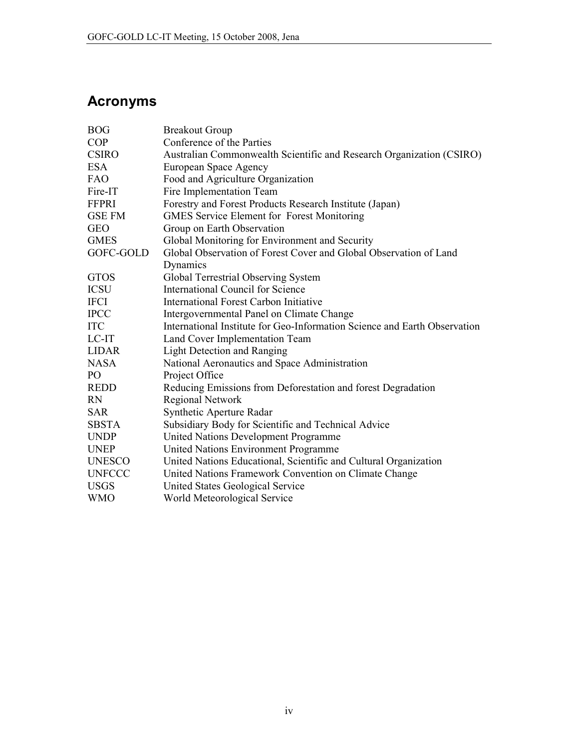# **Acronyms**

| <b>BOG</b>    | <b>Breakout Group</b>                                                     |
|---------------|---------------------------------------------------------------------------|
| <b>COP</b>    | Conference of the Parties                                                 |
| <b>CSIRO</b>  | Australian Commonwealth Scientific and Research Organization (CSIRO)      |
| <b>ESA</b>    | European Space Agency                                                     |
| FAO           | Food and Agriculture Organization                                         |
| Fire-IT       | Fire Implementation Team                                                  |
| <b>FFPRI</b>  | Forestry and Forest Products Research Institute (Japan)                   |
| <b>GSE FM</b> | <b>GMES Service Element for Forest Monitoring</b>                         |
| <b>GEO</b>    | Group on Earth Observation                                                |
| <b>GMES</b>   | Global Monitoring for Environment and Security                            |
| GOFC-GOLD     | Global Observation of Forest Cover and Global Observation of Land         |
|               | Dynamics                                                                  |
| <b>GTOS</b>   | Global Terrestrial Observing System                                       |
| <b>ICSU</b>   | <b>International Council for Science</b>                                  |
| <b>IFCI</b>   | <b>International Forest Carbon Initiative</b>                             |
| <b>IPCC</b>   | Intergovernmental Panel on Climate Change                                 |
| <b>ITC</b>    | International Institute for Geo-Information Science and Earth Observation |
| LC-IT         | Land Cover Implementation Team                                            |
| <b>LIDAR</b>  | Light Detection and Ranging                                               |
| <b>NASA</b>   | National Aeronautics and Space Administration                             |
| PO            | Project Office                                                            |
| <b>REDD</b>   | Reducing Emissions from Deforestation and forest Degradation              |
| <b>RN</b>     | <b>Regional Network</b>                                                   |
| <b>SAR</b>    | Synthetic Aperture Radar                                                  |
| <b>SBSTA</b>  | Subsidiary Body for Scientific and Technical Advice                       |
| <b>UNDP</b>   | United Nations Development Programme                                      |
| <b>UNEP</b>   | United Nations Environment Programme                                      |
| <b>UNESCO</b> | United Nations Educational, Scientific and Cultural Organization          |
| <b>UNFCCC</b> | United Nations Framework Convention on Climate Change                     |
| <b>USGS</b>   | <b>United States Geological Service</b>                                   |
| <b>WMO</b>    | World Meteorological Service                                              |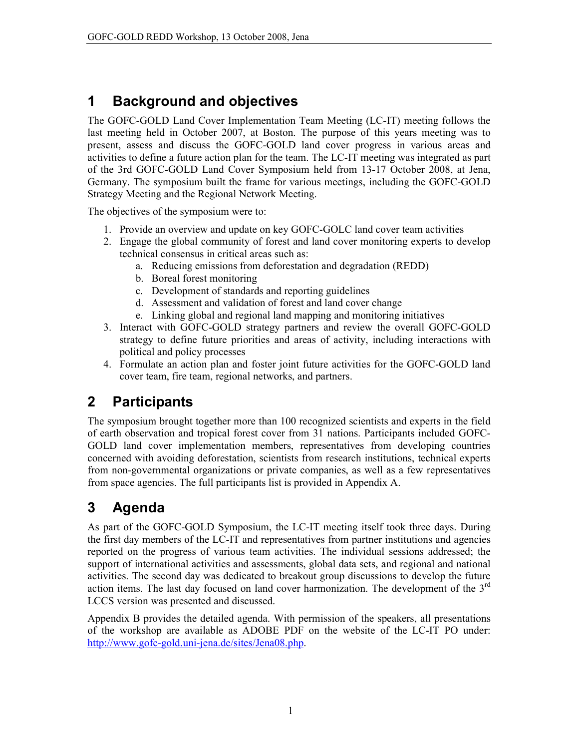#### **Background and objectives**  $\mathbf 1$

The GOFC-GOLD Land Cover Implementation Team Meeting (LC-IT) meeting follows the last meeting held in October 2007, at Boston. The purpose of this years meeting was to present, assess and discuss the GOFC-GOLD land cover progress in various areas and activities to define a future action plan for the team. The LC-IT meeting was integrated as part of the 3rd GOFC-GOLD Land Cover Symposium held from 13-17 October 2008, at Jena, Germany. The symposium built the frame for various meetings, including the GOFC-GOLD Strategy Meeting and the Regional Network Meeting.

The objectives of the symposium were to:

- 1. Provide an overview and update on key GOFC-GOLC land cover team activities
- 2. Engage the global community of forest and land cover monitoring experts to develop technical consensus in critical areas such as:
	- a. Reducing emissions from deforestation and degradation (REDD)
	- b. Boreal forest monitoring
	- c. Development of standards and reporting guidelines
	- d. Assessment and validation of forest and land cover change
	- e. Linking global and regional land mapping and monitoring initiatives
- 3. Interact with GOFC-GOLD strategy partners and review the overall GOFC-GOLD strategy to define future priorities and areas of activity, including interactions with political and policy processes
- 4. Formulate an action plan and foster joint future activities for the GOFC-GOLD land cover team, fire team, regional networks, and partners.

#### $\overline{2}$ **Participants**

The symposium brought together more than 100 recognized scientists and experts in the field of earth observation and tropical forest cover from 31 nations. Participants included GOFC-GOLD land cover implementation members, representatives from developing countries concerned with avoiding deforestation, scientists from research institutions, technical experts from non-governmental organizations or private companies, as well as a few representatives from space agencies. The full participants list is provided in Appendix A.

#### **Agenda** 3

As part of the GOFC-GOLD Symposium, the LC-IT meeting itself took three days. During the first day members of the LC-IT and representatives from partner institutions and agencies reported on the progress of various team activities. The individual sessions addressed; the support of international activities and assessments, global data sets, and regional and national activities. The second day was dedicated to breakout group discussions to develop the future action items. The last day focused on land cover harmonization. The development of the  $3<sup>rd</sup>$ LCCS version was presented and discussed.

Appendix B provides the detailed agenda. With permission of the speakers, all presentations of the workshop are available as ADOBE PDF on the website of the LC-IT PO under: http://www.gofc-gold.uni-jena.de/sites/Jena08.php.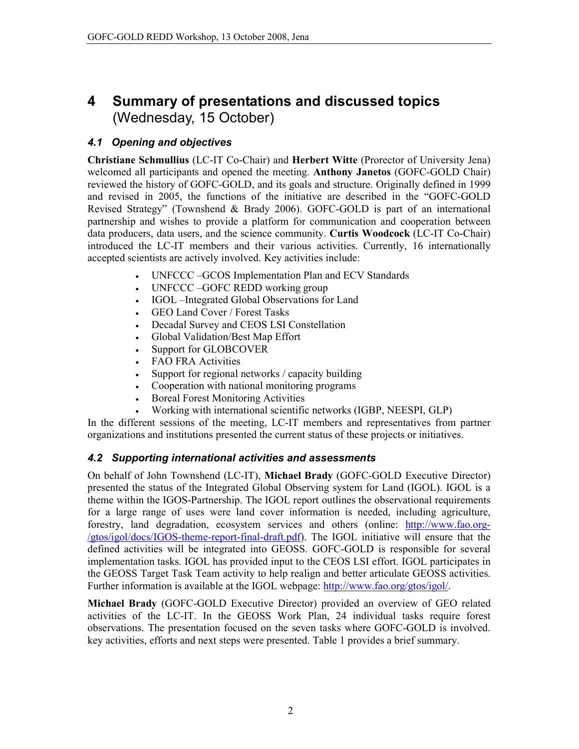### Summary of presentations and discussed topics 4 (Wednesday, 15 October)

## 4.1 Opening and objectives

Christiane Schmullius (LC-IT Co-Chair) and Herbert Witte (Prorector of University Jena) welcomed all participants and opened the meeting. Anthony Janetos (GOFC-GOLD Chair) reviewed the history of GOFC-GOLD, and its goals and structure. Originally defined in 1999 and revised in 2005, the functions of the initiative are described in the "GOFC-GOLD Revised Strategy" (Townshend & Brady 2006). GOFC-GOLD is part of an international partnership and wishes to provide a platform for communication and cooperation between data producers, data users, and the science community. Curtis Woodcock (LC-IT Co-Chair) introduced the LC-IT members and their various activities. Currently, 16 internationally accepted scientists are actively involved. Key activities include:

- UNFCCC -GCOS Implementation Plan and ECV Standards  $\bullet$
- UNFCCC -GOFC REDD working group  $\bullet$
- IGOL Integrated Global Observations for Land  $\bullet$
- GEO Land Cover / Forest Tasks  $\bullet$
- Decadal Survey and CEOS LSI Constellation  $\bullet$
- Global Validation/Best Map Effort  $\bullet$
- Support for GLOBCOVER
- **FAO FRA Activities**  $\bullet$
- Support for regional networks / capacity building
- Cooperation with national monitoring programs
- **Boreal Forest Monitoring Activities**
- Working with international scientific networks (IGBP, NEESPI, GLP)

In the different sessions of the meeting, LC-IT members and representatives from partner organizations and institutions presented the current status of these projects or initiatives.

## 4.2 Supporting international activities and assessments

On behalf of John Townshend (LC-IT), Michael Brady (GOFC-GOLD Executive Director) presented the status of the Integrated Global Observing system for Land (IGOL). IGOL is a theme within the IGOS-Partnership. The IGOL report outlines the observational requirements for a large range of uses were land cover information is needed, including agriculture, forestry, land degradation, ecosystem services and others (online: http://www.fao.org-/gtos/igol/docs/IGOS-theme-report-final-draft.pdf). The IGOL initiative will ensure that the defined activities will be integrated into GEOSS. GOFC-GOLD is responsible for several implementation tasks. IGOL has provided input to the CEOS LSI effort. IGOL participates in the GEOSS Target Task Team activity to help realign and better articulate GEOSS activities. Further information is available at the IGOL webpage: http://www.fao.org/gtos/igol/.

Michael Brady (GOFC-GOLD Executive Director) provided an overview of GEO related activities of the LC-IT. In the GEOSS Work Plan, 24 individual tasks require forest observations. The presentation focused on the seven tasks where GOFC-GOLD is involved. key activities, efforts and next steps were presented. Table 1 provides a brief summary.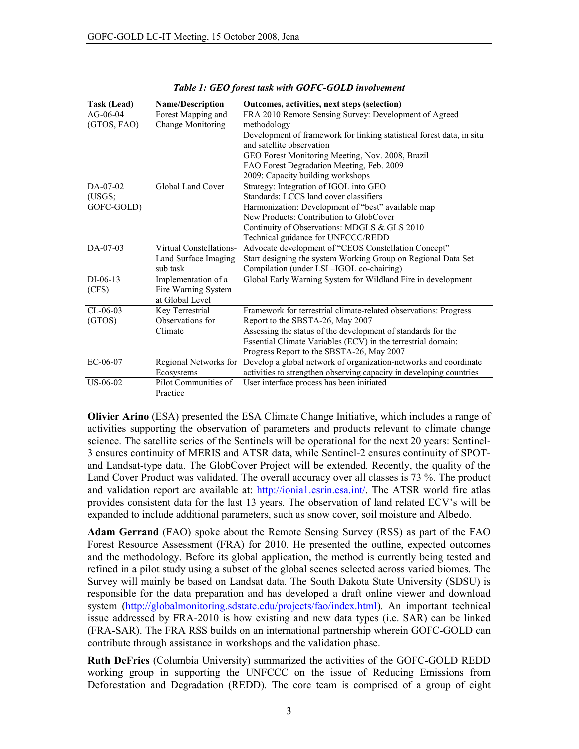| <b>Task (Lead)</b> | <b>Name/Description</b> | Outcomes, activities, next steps (selection)                          |  |
|--------------------|-------------------------|-----------------------------------------------------------------------|--|
| $AG - 06 - 04$     | Forest Mapping and      | FRA 2010 Remote Sensing Survey: Development of Agreed                 |  |
| (GTOS, FAO)        | Change Monitoring       | methodology                                                           |  |
|                    |                         | Development of framework for linking statistical forest data, in situ |  |
|                    |                         | and satellite observation                                             |  |
|                    |                         | GEO Forest Monitoring Meeting, Nov. 2008, Brazil                      |  |
|                    |                         | FAO Forest Degradation Meeting, Feb. 2009                             |  |
|                    |                         | 2009: Capacity building workshops                                     |  |
| $DA-07-02$         | Global Land Cover       | Strategy: Integration of IGOL into GEO                                |  |
| (USGS)             |                         | Standards: LCCS land cover classifiers                                |  |
| GOFC-GOLD)         |                         | Harmonization: Development of "best" available map                    |  |
|                    |                         | New Products: Contribution to GlobCover                               |  |
|                    |                         | Continuity of Observations: MDGLS & GLS 2010                          |  |
|                    |                         | Technical guidance for UNFCCC/REDD                                    |  |
| $DA-07-03$         | Virtual Constellations- | Advocate development of "CEOS Constellation Concept"                  |  |
|                    | Land Surface Imaging    | Start designing the system Working Group on Regional Data Set         |  |
|                    | sub task                | Compilation (under LSI-IGOL co-chairing)                              |  |
| $DI-06-13$         | Implementation of a     | Global Early Warning System for Wildland Fire in development          |  |
| (CFS)              | Fire Warning System     |                                                                       |  |
|                    | at Global Level         |                                                                       |  |
| $CL-06-03$         | Key Terrestrial         | Framework for terrestrial climate-related observations: Progress      |  |
| (GTOS)             | Observations for        | Report to the SBSTA-26, May 2007                                      |  |
|                    | Climate                 | Assessing the status of the development of standards for the          |  |
|                    |                         | Essential Climate Variables (ECV) in the terrestrial domain:          |  |
|                    |                         | Progress Report to the SBSTA-26, May 2007                             |  |
| EC-06-07           | Regional Networks for   | Develop a global network of organization-networks and coordinate      |  |
|                    | Ecosystems              | activities to strengthen observing capacity in developing countries   |  |
| US-06-02           | Pilot Communities of    | User interface process has been initiated                             |  |
|                    | Practice                |                                                                       |  |

|  | Table 1: GEO forest task with GOFC-GOLD involvement |  |  |
|--|-----------------------------------------------------|--|--|
|--|-----------------------------------------------------|--|--|

Olivier Arino (ESA) presented the ESA Climate Change Initiative, which includes a range of activities supporting the observation of parameters and products relevant to climate change science. The satellite series of the Sentinels will be operational for the next 20 years: Sentinel-3 ensures continuity of MERIS and ATSR data, while Sentinel-2 ensures continuity of SPOTand Landsat-type data. The GlobCover Project will be extended. Recently, the quality of the Land Cover Product was validated. The overall accuracy over all classes is 73 %. The product and validation report are available at: http://ionia1.esrin.esa.int/. The ATSR world fire atlas provides consistent data for the last 13 years. The observation of land related ECV's will be expanded to include additional parameters, such as snow cover, soil moisture and Albedo.

**Adam Gerrand** (FAO) spoke about the Remote Sensing Survey (RSS) as part of the FAO Forest Resource Assessment (FRA) for 2010. He presented the outline, expected outcomes and the methodology. Before its global application, the method is currently being tested and refined in a pilot study using a subset of the global scenes selected across varied biomes. The Survey will mainly be based on Landsat data. The South Dakota State University (SDSU) is responsible for the data preparation and has developed a draft online viewer and download system (http://globalmonitoring.sdstate.edu/projects/fao/index.html). An important technical issue addressed by FRA-2010 is how existing and new data types (i.e. SAR) can be linked (FRA-SAR). The FRA RSS builds on an international partnership wherein GOFC-GOLD can contribute through assistance in workshops and the validation phase.

Ruth DeFries (Columbia University) summarized the activities of the GOFC-GOLD REDD working group in supporting the UNFCCC on the issue of Reducing Emissions from Deforestation and Degradation (REDD). The core team is comprised of a group of eight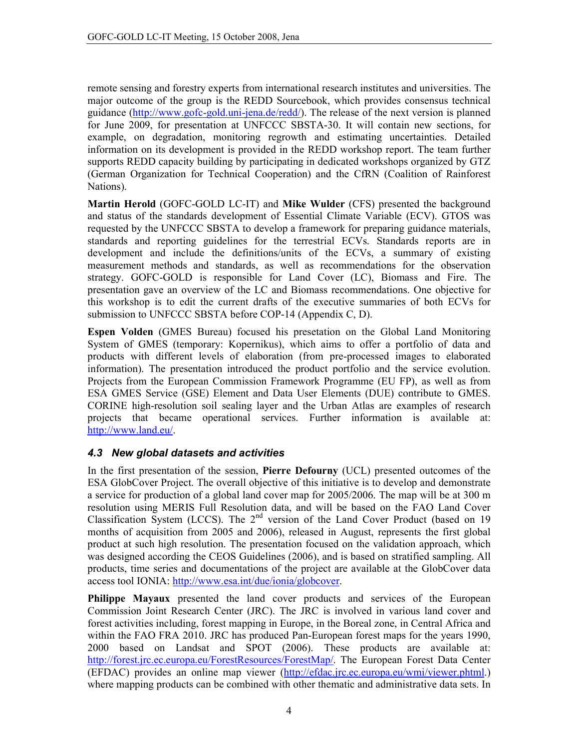remote sensing and forestry experts from international research institutes and universities. The major outcome of the group is the REDD Sourcebook, which provides consensus technical guidance (http://www.gofc-gold.uni-jena.de/redd/). The release of the next version is planned for June 2009, for presentation at UNFCCC SBSTA-30. It will contain new sections, for example, on degradation, monitoring regrowth and estimating uncertainties. Detailed information on its development is provided in the REDD workshop report. The team further supports REDD capacity building by participating in dedicated workshops organized by GTZ (German Organization for Technical Cooperation) and the CfRN (Coalition of Rainforest Nations).

Martin Herold (GOFC-GOLD LC-IT) and Mike Wulder (CFS) presented the background and status of the standards development of Essential Climate Variable (ECV). GTOS was requested by the UNFCCC SBSTA to develop a framework for preparing guidance materials, standards and reporting guidelines for the terrestrial ECVs. Standards reports are in development and include the definitions/units of the ECVs, a summary of existing measurement methods and standards, as well as recommendations for the observation strategy. GOFC-GOLD is responsible for Land Cover (LC), Biomass and Fire. The presentation gave an overview of the LC and Biomass recommendations. One objective for this workshop is to edit the current drafts of the executive summaries of both ECVs for submission to UNFCCC SBSTA before COP-14 (Appendix C, D).

**Espen Volden** (GMES Bureau) focused his presetation on the Global Land Monitoring System of GMES (temporary: Kopernikus), which aims to offer a portfolio of data and products with different levels of elaboration (from pre-processed images to elaborated information). The presentation introduced the product portfolio and the service evolution. Projects from the European Commission Framework Programme (EU FP), as well as from ESA GMES Service (GSE) Element and Data User Elements (DUE) contribute to GMES. CORINE high-resolution soil sealing layer and the Urban Atlas are examples of research projects that became operational services. Further information is available at: http://www.land.eu/.

## 4.3 New global datasets and activities

In the first presentation of the session, Pierre Defourny (UCL) presented outcomes of the ESA GlobCover Project. The overall objective of this initiative is to develop and demonstrate a service for production of a global land cover map for 2005/2006. The map will be at 300 m resolution using MERIS Full Resolution data, and will be based on the FAO Land Cover Classification System (LCCS). The 2<sup>nd</sup> version of the Land Cover Product (based on 19 months of acquisition from 2005 and 2006), released in August, represents the first global product at such high resolution. The presentation focused on the validation approach, which was designed according the CEOS Guidelines (2006), and is based on stratified sampling. All products, time series and documentations of the project are available at the GlobCover data access tool IONIA: http://www.esa.int/due/ionia/globcover.

Philippe Mayaux presented the land cover products and services of the European Commission Joint Research Center (JRC). The JRC is involved in various land cover and forest activities including, forest mapping in Europe, in the Boreal zone, in Central Africa and within the FAO FRA 2010. JRC has produced Pan-European forest maps for the years 1990, 2000 based on Landsat and SPOT (2006). These products are available at: http://forest.jrc.ec.europa.eu/ForestResources/ForestMap/. The European Forest Data Center (EFDAC) provides an online map viewer (http://efdac.jrc.ec.europa.eu/wmi/viewer.phtml.) where mapping products can be combined with other thematic and administrative data sets. In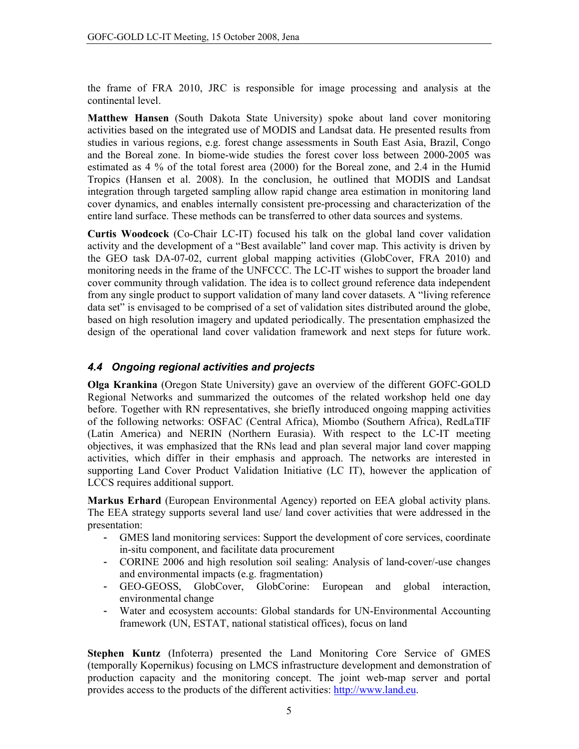the frame of FRA 2010, JRC is responsible for image processing and analysis at the continental level.

Matthew Hansen (South Dakota State University) spoke about land cover monitoring activities based on the integrated use of MODIS and Landsat data. He presented results from studies in various regions, e.g. forest change assessments in South East Asia, Brazil, Congo and the Boreal zone. In biome-wide studies the forest cover loss between 2000-2005 was estimated as 4 % of the total forest area (2000) for the Boreal zone, and 2.4 in the Humid Tropics (Hansen et al. 2008). In the conclusion, he outlined that MODIS and Landsat integration through targeted sampling allow rapid change area estimation in monitoring land cover dynamics, and enables internally consistent pre-processing and characterization of the entire land surface. These methods can be transferred to other data sources and systems.

Curtis Woodcock (Co-Chair LC-IT) focused his talk on the global land cover validation activity and the development of a "Best available" land cover map. This activity is driven by the GEO task DA-07-02, current global mapping activities (GlobCover, FRA 2010) and monitoring needs in the frame of the UNFCCC. The LC-IT wishes to support the broader land cover community through validation. The idea is to collect ground reference data independent from any single product to support validation of many land cover datasets. A "living reference data set" is envisaged to be comprised of a set of validation sites distributed around the globe, based on high resolution imagery and updated periodically. The presentation emphasized the design of the operational land cover validation framework and next steps for future work.

## 4.4 Ongoing regional activities and projects

Olga Krankina (Oregon State University) gave an overview of the different GOFC-GOLD Regional Networks and summarized the outcomes of the related workshop held one day before. Together with RN representatives, she briefly introduced ongoing mapping activities of the following networks: OSFAC (Central Africa), Miombo (Southern Africa), RedLaTIF (Latin America) and NERIN (Northern Eurasia). With respect to the LC-IT meeting objectives, it was emphasized that the RNs lead and plan several major land cover mapping activities, which differ in their emphasis and approach. The networks are interested in supporting Land Cover Product Validation Initiative (LC IT), however the application of LCCS requires additional support.

Markus Erhard (European Environmental Agency) reported on EEA global activity plans. The EEA strategy supports several land use/ land cover activities that were addressed in the presentation:

- GMES land monitoring services: Support the development of core services, coordinate in-situ component, and facilitate data procurement
- CORINE 2006 and high resolution soil sealing: Analysis of land-cover/-use changes and environmental impacts (e.g. fragmentation)
- GlobCover, GlobCorine: European - GEO-GEOSS. and global interaction, environmental change
- Water and ecosystem accounts: Global standards for UN-Environmental Accounting framework (UN, ESTAT, national statistical offices), focus on land

Stephen Kuntz (Infoterra) presented the Land Monitoring Core Service of GMES (temporally Kopernikus) focusing on LMCS infrastructure development and demonstration of production capacity and the monitoring concept. The joint web-map server and portal provides access to the products of the different activities: http://www.land.eu.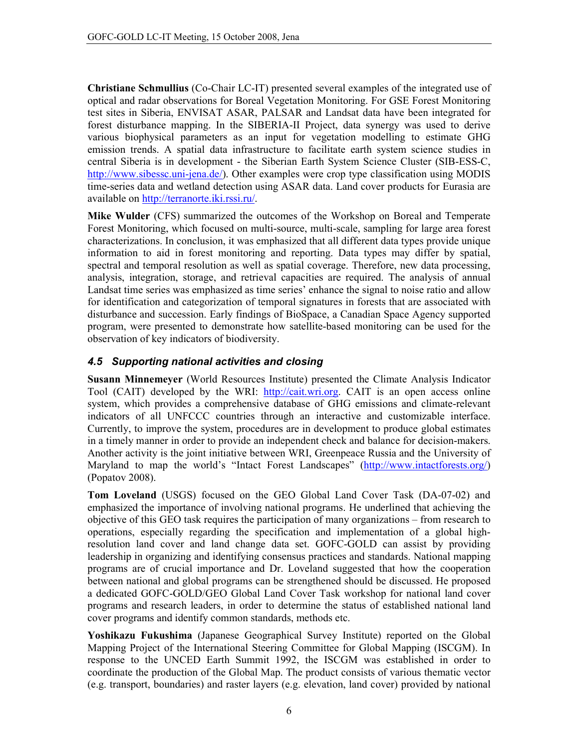Christiane Schmullius (Co-Chair LC-IT) presented several examples of the integrated use of optical and radar observations for Boreal Vegetation Monitoring. For GSE Forest Monitoring test sites in Siberia, ENVISAT ASAR, PALSAR and Landsat data have been integrated for forest disturbance mapping. In the SIBERIA-II Project, data synergy was used to derive various biophysical parameters as an input for vegetation modelling to estimate GHG emission trends. A spatial data infrastructure to facilitate earth system science studies in central Siberia is in development - the Siberian Earth System Science Cluster (SIB-ESS-C, http://www.sibessc.uni-jena.de/). Other examples were crop type classification using MODIS time-series data and wetland detection using ASAR data. Land cover products for Eurasia are available on http://terranorte.iki.rssi.ru/.

**Mike Wulder** (CFS) summarized the outcomes of the Workshop on Boreal and Temperate Forest Monitoring, which focused on multi-source, multi-scale, sampling for large area forest characterizations. In conclusion, it was emphasized that all different data types provide unique information to aid in forest monitoring and reporting. Data types may differ by spatial, spectral and temporal resolution as well as spatial coverage. Therefore, new data processing, analysis, integration, storage, and retrieval capacities are required. The analysis of annual Landsat time series was emphasized as time series' enhance the signal to noise ratio and allow for identification and categorization of temporal signatures in forests that are associated with disturbance and succession. Early findings of BioSpace, a Canadian Space Agency supported program, were presented to demonstrate how satellite-based monitoring can be used for the observation of key indicators of biodiversity.

## 4.5 Supporting national activities and closing

Susann Minnemeyer (World Resources Institute) presented the Climate Analysis Indicator Tool (CAIT) developed by the WRI: http://cait.wri.org. CAIT is an open access online system, which provides a comprehensive database of GHG emissions and climate-relevant indicators of all UNFCCC countries through an interactive and customizable interface. Currently, to improve the system, procedures are in development to produce global estimates in a timely manner in order to provide an independent check and balance for decision-makers. Another activity is the joint initiative between WRI, Greenpeace Russia and the University of Maryland to map the world's "Intact Forest Landscapes" (http://www.intactforests.org/) (Popatov 2008).

Tom Loveland (USGS) focused on the GEO Global Land Cover Task (DA-07-02) and emphasized the importance of involving national programs. He underlined that achieving the objective of this GEO task requires the participation of many organizations – from research to operations, especially regarding the specification and implementation of a global highresolution land cover and land change data set. GOFC-GOLD can assist by providing leadership in organizing and identifying consensus practices and standards. National mapping programs are of crucial importance and Dr. Loveland suggested that how the cooperation between national and global programs can be strengthened should be discussed. He proposed a dedicated GOFC-GOLD/GEO Global Land Cover Task workshop for national land cover programs and research leaders, in order to determine the status of established national land cover programs and identify common standards, methods etc.

Yoshikazu Fukushima (Japanese Geographical Survey Institute) reported on the Global Mapping Project of the International Steering Committee for Global Mapping (ISCGM). In response to the UNCED Earth Summit 1992, the ISCGM was established in order to coordinate the production of the Global Map. The product consists of various thematic vector (e.g. transport, boundaries) and raster layers (e.g. elevation, land cover) provided by national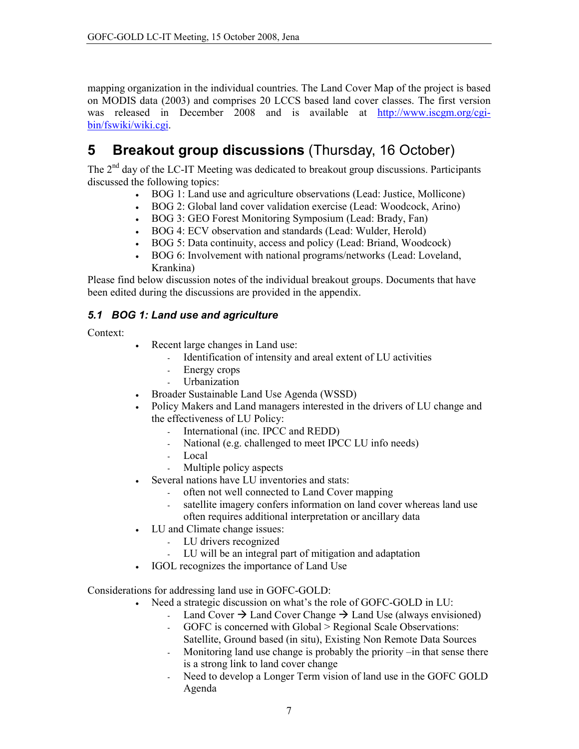mapping organization in the individual countries. The Land Cover Map of the project is based on MODIS data (2003) and comprises 20 LCCS based land cover classes. The first version was released in December 2008 and is available at http://www.iscgm.org/cgibin/fswiki/wiki.cgi.

#### **Breakout group discussions (Thursday, 16 October)** 5

The  $2<sup>nd</sup>$  day of the LC-IT Meeting was dedicated to breakout group discussions. Participants discussed the following topics:

- BOG 1: Land use and agriculture observations (Lead: Justice, Mollicone)  $\bullet$
- BOG 2: Global land cover validation exercise (Lead: Woodcock, Arino)
- BOG 3: GEO Forest Monitoring Symposium (Lead: Brady, Fan)
- $\bullet$ BOG 4: ECV observation and standards (Lead: Wulder, Herold)
- BOG 5: Data continuity, access and policy (Lead: Briand, Woodcock)  $\bullet$
- BOG 6: Involvement with national programs/networks (Lead: Loveland,  $\bullet$ Krankina)

Please find below discussion notes of the individual breakout groups. Documents that have been edited during the discussions are provided in the appendix.

## 5.1 BOG 1: Land use and agriculture

Context:

- Recent large changes in Land use:
	- Identification of intensity and areal extent of LU activities  $\omega_{\rm{eff}}$
	- Energy crops
	- Urbanization
- $\bullet$ Broader Sustainable Land Use Agenda (WSSD)
- Policy Makers and Land managers interested in the drivers of LU change and the effectiveness of LU Policy:
	- International (inc. IPCC and REDD)  $\omega_{\rm{eff}}$
	- $\omega_{\rm{eff}}$ National (e.g. challenged to meet IPCC LU info needs)
	- Local  $\omega_{\rm{max}}$
	- Multiple policy aspects  $\mathbb{Z}^{n-1}$
- Several nations have LU inventories and stats:
	- often not well connected to Land Cover mapping  $\mathcal{L}^{\text{max}}$
	- satellite imagery confers information on land cover whereas land use often requires additional interpretation or ancillary data
- LU and Climate change issues:  $\bullet$ 
	- LU drivers recognized
	- LU will be an integral part of mitigation and adaptation
- IGOL recognizes the importance of Land Use

Considerations for addressing land use in GOFC-GOLD:

- Need a strategic discussion on what's the role of GOFC-GOLD in LU:
	- Land Cover  $\rightarrow$  Land Cover Change  $\rightarrow$  Land Use (always envisioned)  $\omega_{\rm{eff}}$
	- GOFC is concerned with Global > Regional Scale Observations:
	- Satellite, Ground based (in situ), Existing Non Remote Data Sources
	- Monitoring land use change is probably the priority –in that sense there is a strong link to land cover change
	- Need to develop a Longer Term vision of land use in the GOFC GOLD Agenda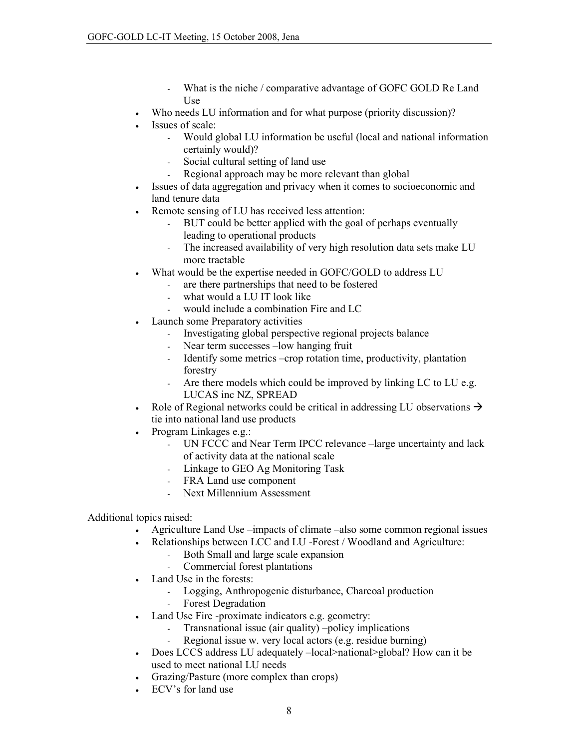- What is the niche / comparative advantage of GOFC GOLD Re Land Use
- Who needs LU information and for what purpose (priority discussion)?  $\bullet$
- Issues of scale:  $\bullet$ 
	- Would global LU information be useful (local and national information  $\omega_{\rm{eff}}$ certainly would)?
	- Social cultural setting of land use  $\omega_{\rm{eff}}$
	- Regional approach may be more relevant than global
- Issues of data aggregation and privacy when it comes to socioeconomic and  $\bullet$ land tenure data
- Remote sensing of LU has received less attention:
	- BUT could be better applied with the goal of perhaps eventually leading to operational products
	- The increased availability of very high resolution data sets make LU  $\mathcal{L}^{\text{max}}$ more tractable
- What would be the expertise needed in GOFC/GOLD to address LU
	- are there partnerships that need to be fostered  $\omega_{\rm{eff}}$
	- what would a LU IT look like  $\omega_{\rm{eff}}$
	- would include a combination Fire and LC
- Launch some Preparatory activities
	- Investigating global perspective regional projects balance
	- Near term successes -low hanging fruit  $\omega_{\rm{eff}}$
	- Identify some metrics -crop rotation time, productivity, plantation forestry
	- $\mathbb{Z}^{n-1}$ Are there models which could be improved by linking LC to LU e.g. LUCAS inc NZ, SPREAD
- Role of Regional networks could be critical in addressing LU observations  $\rightarrow$  $\bullet$ tie into national land use products
- Program Linkages e.g.:  $\bullet$ 
	- UN FCCC and Near Term IPCC relevance -large uncertainty and lack  $\omega_{\rm{max}}$ of activity data at the national scale
	- Linkage to GEO Ag Monitoring Task
	- FRA Land use component  $\omega_{\rm{max}}$
	- Next Millennium Assessment

## Additional topics raised:

- Agriculture Land Use -impacts of climate -also some common regional issues
- Relationships between LCC and LU -Forest / Woodland and Agriculture:  $\bullet$ 
	- Both Small and large scale expansion  $\Delta \sim 10^4$
	- $\mathbb{Z}^{n-1}$ Commercial forest plantations
- Land Use in the forests:
	- Logging, Anthropogenic disturbance, Charcoal production
	- $\omega_{\rm{max}}$ **Forest Degradation**
- Land Use Fire -proximate indicators e.g. geometry:
	- Transnational issue (air quality) -policy implications
	- Regional issue w. very local actors (e.g. residue burning)
- $\bullet$ Does LCCS address LU adequately -local>national>global? How can it be used to meet national LU needs
- Grazing/Pasture (more complex than crops)
- ECV's for land use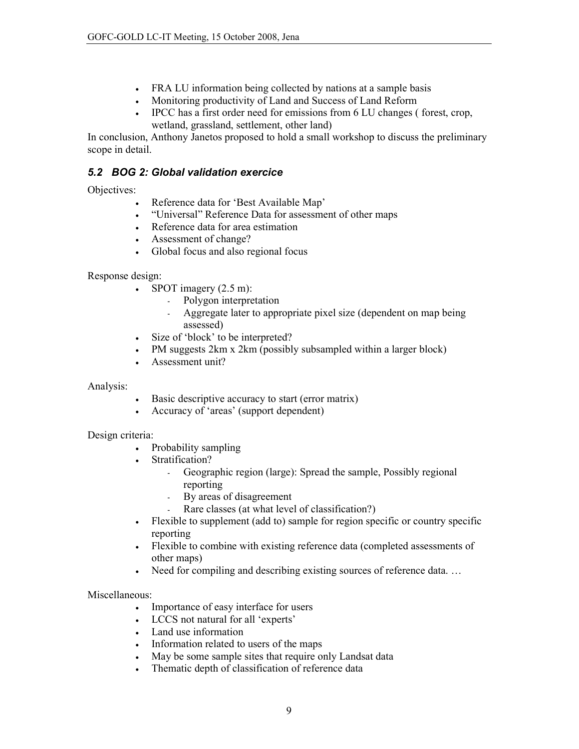- FRA LU information being collected by nations at a sample basis
- Monitoring productivity of Land and Success of Land Reform
- IPCC has a first order need for emissions from 6 LU changes (forest, crop, wetland, grassland, settlement, other land)

In conclusion, Anthony Janetos proposed to hold a small workshop to discuss the preliminary scope in detail.

## 5.2 BOG 2: Global validation exercice

Objectives:

- Reference data for 'Best Available Map'
- "Universal" Reference Data for assessment of other maps
- Reference data for area estimation
- Assessment of change?
- Global focus and also regional focus

Response design:

- SPOT imagery  $(2.5 \text{ m})$ :
	- Polygon interpretation  $\omega_{\rm{max}}$
	- Aggregate later to appropriate pixel size (dependent on map being  $\omega$  . assessed)
- $\bullet$ Size of 'block' to be interpreted?
- PM suggests 2km x 2km (possibly subsampled within a larger block)
- Assessment unit?

## Analysis:

- Basic descriptive accuracy to start (error matrix)
- Accuracy of 'areas' (support dependent)

## Design criteria:

- Probability sampling
- Stratification?
	- Geographic region (large): Spread the sample, Possibly regional  $\omega_{\rm{eff}}$ reporting
	- $\omega_{\rm{eff}}$ By areas of disagreement
	- Rare classes (at what level of classification?)
- Flexible to supplement (add to) sample for region specific or country specific  $\bullet$ reporting
- Flexible to combine with existing reference data (completed assessments of other maps)
- Need for compiling and describing existing sources of reference data...  $\bullet$

## Miscellaneous:

- Importance of easy interface for users
- LCCS not natural for all 'experts'
- Land use information
- Information related to users of the maps
- May be some sample sites that require only Landsat data  $\bullet$
- Thematic depth of classification of reference data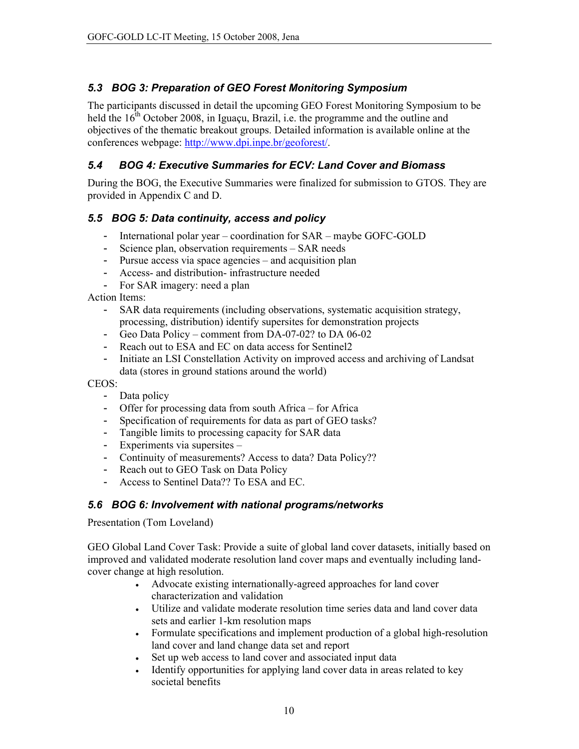## 5.3 BOG 3: Preparation of GEO Forest Monitoring Symposium

The participants discussed in detail the upcoming GEO Forest Monitoring Symposium to be held the  $16^{th}$  October 2008, in Iguaçu, Brazil, i.e. the programme and the outline and objectives of the thematic breakout groups. Detailed information is available online at the conferences webpage: http://www.dpi.inpe.br/geoforest/.

#### $5.4$ **BOG 4: Executive Summaries for ECV: Land Cover and Biomass**

During the BOG, the Executive Summaries were finalized for submission to GTOS. They are provided in Appendix C and D.

## 5.5 BOG 5: Data continuity, access and policy

- International polar year coordination for SAR maybe GOFC-GOLD
- Science plan, observation requirements SAR needs
- Pursue access via space agencies and acquisition plan
- Access- and distribution- infrastructure needed
- For SAR imagery: need a plan

**Action Items:** 

- SAR data requirements (including observations, systematic acquisition strategy, processing, distribution) identify supersites for demonstration projects
- Geo Data Policy comment from DA-07-02? to DA 06-02
- Reach out to ESA and EC on data access for Sentinel2
- Initiate an LSI Constellation Activity on improved access and archiving of Landsat data (stores in ground stations around the world)

CEOS:

- Data policy
- Offer for processing data from south Africa for Africa
- Specification of requirements for data as part of GEO tasks?
- Tangible limits to processing capacity for SAR data
- Experiments via supersites -
- Continuity of measurements? Access to data? Data Policy??
- Reach out to GEO Task on Data Policy
- Access to Sentinel Data?? To ESA and EC.

## 5.6 BOG 6: Involvement with national programs/networks

Presentation (Tom Loveland)

GEO Global Land Cover Task: Provide a suite of global land cover datasets, initially based on improved and validated moderate resolution land cover maps and eventually including landcover change at high resolution.

- Advocate existing internationally-agreed approaches for land cover  $\bullet$ characterization and validation
- Utilize and validate moderate resolution time series data and land cover data sets and earlier 1-km resolution maps
- Formulate specifications and implement production of a global high-resolution land cover and land change data set and report
- Set up web access to land cover and associated input data
- Identify opportunities for applying land cover data in areas related to key societal benefits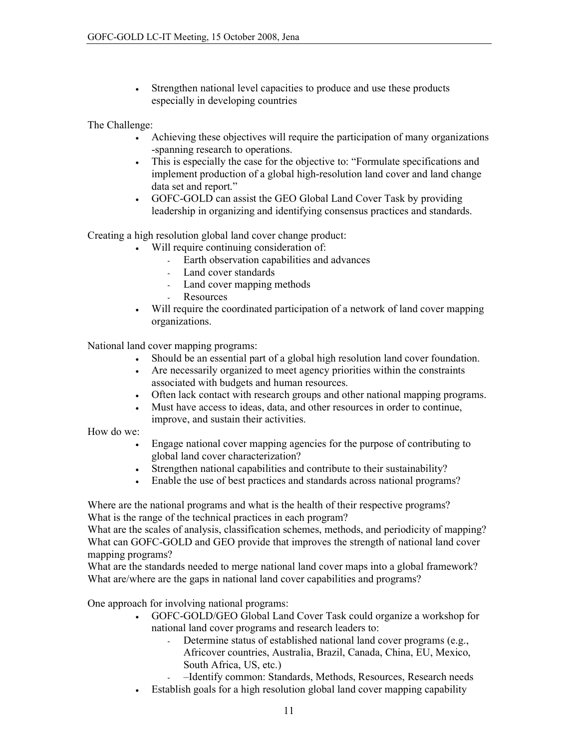Strengthen national level capacities to produce and use these products  $\bullet$ especially in developing countries

The Challenge:

- Achieving these objectives will require the participation of many organizations  $\bullet$ -spanning research to operations.
- This is especially the case for the objective to: "Formulate specifications and  $\bullet$ implement production of a global high-resolution land cover and land change data set and report."
- $\bullet$ GOFC-GOLD can assist the GEO Global Land Cover Task by providing leadership in organizing and identifying consensus practices and standards.

Creating a high resolution global land cover change product:

- Will require continuing consideration of:
	- Earth observation capabilities and advances L.
	- Land cover standards  $\omega_{\rm{max}}$
	- Land cover mapping methods
	- Resources  $\omega_{\rm{max}}$
- Will require the coordinated participation of a network of land cover mapping  $\bullet$ organizations.

National land cover mapping programs:

- Should be an essential part of a global high resolution land cover foundation.
- Are necessarily organized to meet agency priorities within the constraints associated with budgets and human resources.
- Often lack contact with research groups and other national mapping programs.  $\bullet$
- Must have access to ideas, data, and other resources in order to continue, improve, and sustain their activities.

How do we:

- $\bullet$ Engage national cover mapping agencies for the purpose of contributing to global land cover characterization?
- Strengthen national capabilities and contribute to their sustainability?
- Enable the use of best practices and standards across national programs?  $\bullet$

Where are the national programs and what is the health of their respective programs? What is the range of the technical practices in each program?

What are the scales of analysis, classification schemes, methods, and periodicity of mapping? What can GOFC-GOLD and GEO provide that improves the strength of national land cover mapping programs?

What are the standards needed to merge national land cover maps into a global framework? What are/where are the gaps in national land cover capabilities and programs?

One approach for involving national programs:

- GOFC-GOLD/GEO Global Land Cover Task could organize a workshop for  $\bullet$ national land cover programs and research leaders to:
	- Determine status of established national land cover programs (e.g.,  $\Delta \sim 1$ Africover countries, Australia, Brazil, Canada, China, EU, Mexico, South Africa, US, etc.)
	- -Identify common: Standards, Methods, Resources, Research needs
- Establish goals for a high resolution global land cover mapping capability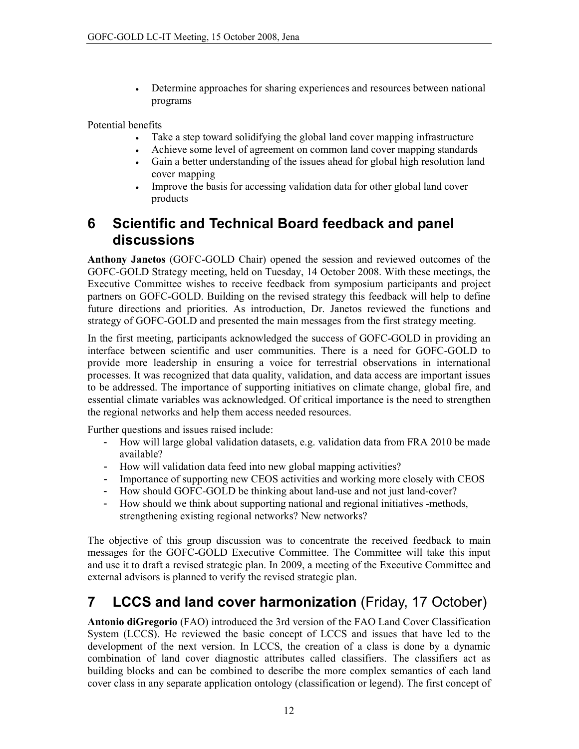Determine approaches for sharing experiences and resources between national  $\bullet$ programs

Potential benefits

- Take a step toward solidifying the global land cover mapping infrastructure  $\bullet$
- Achieve some level of agreement on common land cover mapping standards  $\bullet$
- Gain a better understanding of the issues ahead for global high resolution land  $\bullet$ cover mapping
- Improve the basis for accessing validation data for other global land cover  $\bullet$ products

### Scientific and Technical Board feedback and panel 6 discussions

Anthony Janetos (GOFC-GOLD Chair) opened the session and reviewed outcomes of the GOFC-GOLD Strategy meeting, held on Tuesday, 14 October 2008. With these meetings, the Executive Committee wishes to receive feedback from symposium participants and project partners on GOFC-GOLD. Building on the revised strategy this feedback will help to define future directions and priorities. As introduction, Dr. Janetos reviewed the functions and strategy of GOFC-GOLD and presented the main messages from the first strategy meeting.

In the first meeting, participants acknowledged the success of GOFC-GOLD in providing an interface between scientific and user communities. There is a need for GOFC-GOLD to provide more leadership in ensuring a voice for terrestrial observations in international processes. It was recognized that data quality, validation, and data access are important issues to be addressed. The importance of supporting initiatives on climate change, global fire, and essential climate variables was acknowledged. Of critical importance is the need to strengthen the regional networks and help them access needed resources.

Further questions and issues raised include:

- How will large global validation datasets, e.g. validation data from FRA 2010 be made available?
- How will validation data feed into new global mapping activities?
- Importance of supporting new CEOS activities and working more closely with CEOS
- How should GOFC-GOLD be thinking about land-use and not just land-cover?
- How should we think about supporting national and regional initiatives -methods, strengthening existing regional networks? New networks?

The objective of this group discussion was to concentrate the received feedback to main messages for the GOFC-GOLD Executive Committee. The Committee will take this input and use it to draft a revised strategic plan. In 2009, a meeting of the Executive Committee and external advisors is planned to verify the revised strategic plan.

#### **LCCS and land cover harmonization** (Friday, 17 October) 7

**Antonio diGregorio** (FAO) introduced the 3rd version of the FAO Land Cover Classification System (LCCS). He reviewed the basic concept of LCCS and issues that have led to the development of the next version. In LCCS, the creation of a class is done by a dynamic combination of land cover diagnostic attributes called classifiers. The classifiers act as building blocks and can be combined to describe the more complex semantics of each land cover class in any separate application ontology (classification or legend). The first concept of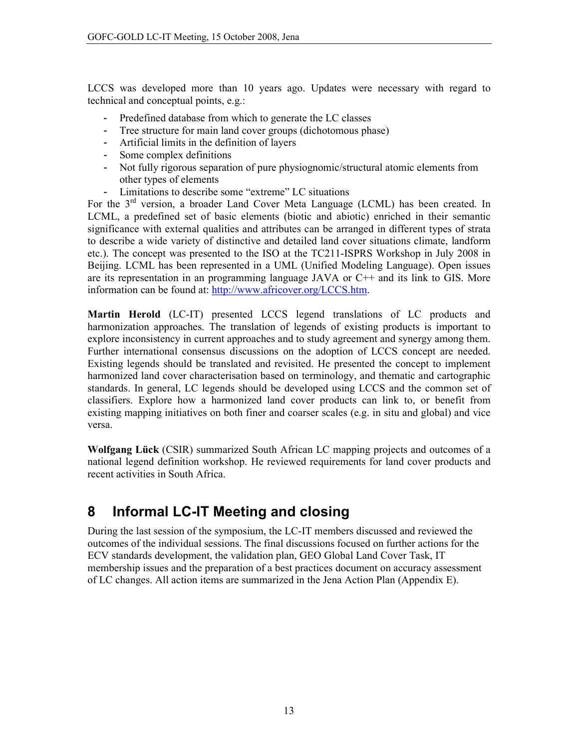LCCS was developed more than 10 years ago. Updates were necessary with regard to technical and conceptual points, e.g.:

- Predefined database from which to generate the LC classes
- Tree structure for main land cover groups (dichotomous phase)
- Artificial limits in the definition of layers
- Some complex definitions
- Not fully rigorous separation of pure physiognomic/structural atomic elements from other types of elements
- Limitations to describe some "extreme" LC situations

For the  $3<sup>rd</sup>$  version, a broader Land Cover Meta Language (LCML) has been created. In LCML, a predefined set of basic elements (biotic and abiotic) enriched in their semantic significance with external qualities and attributes can be arranged in different types of strata to describe a wide variety of distinctive and detailed land cover situations climate, landform etc.). The concept was presented to the ISO at the TC211-ISPRS Workshop in July 2008 in Beijing. LCML has been represented in a UML (Unified Modeling Language). Open issues are its representation in an programming language JAVA or C++ and its link to GIS. More information can be found at: http://www.africover.org/LCCS.htm.

Martin Herold (LC-IT) presented LCCS legend translations of LC products and harmonization approaches. The translation of legends of existing products is important to explore inconsistency in current approaches and to study agreement and synergy among them. Further international consensus discussions on the adoption of LCCS concept are needed. Existing legends should be translated and revisited. He presented the concept to implement harmonized land cover characterisation based on terminology, and thematic and cartographic standards. In general, LC legends should be developed using LCCS and the common set of classifiers. Explore how a harmonized land cover products can link to, or benefit from existing mapping initiatives on both finer and coarser scales (e.g. in situ and global) and vice versa.

**Wolfgang Lück** (CSIR) summarized South African LC mapping projects and outcomes of a national legend definition workshop. He reviewed requirements for land cover products and recent activities in South Africa.

#### **Informal LC-IT Meeting and closing** 8

During the last session of the symposium, the LC-IT members discussed and reviewed the outcomes of the individual sessions. The final discussions focused on further actions for the ECV standards development, the validation plan, GEO Global Land Cover Task, IT membership issues and the preparation of a best practices document on accuracy assessment of LC changes. All action items are summarized in the Jena Action Plan (Appendix E).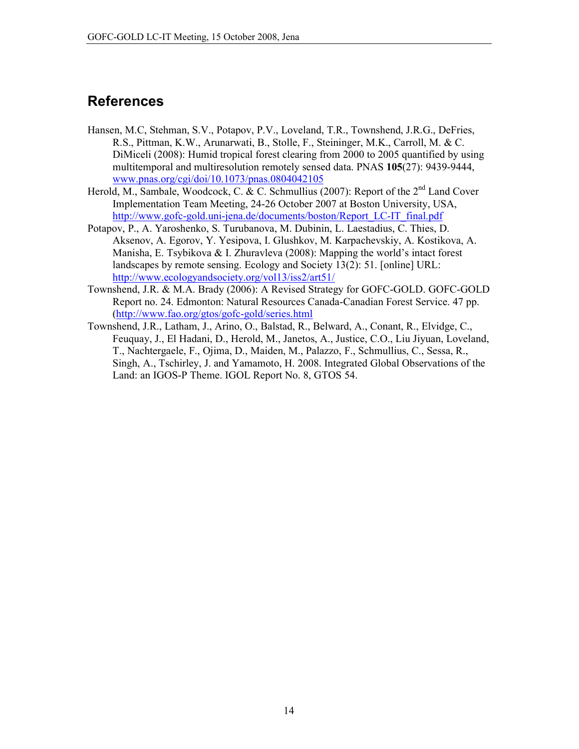## **References**

- Hansen, M.C. Stehman, S.V., Potapov, P.V., Loveland, T.R., Townshend, J.R.G., DeFries, R.S., Pittman, K.W., Arunarwati, B., Stolle, F., Steininger, M.K., Carroll, M. & C. DiMiceli (2008): Humid tropical forest clearing from 2000 to 2005 quantified by using multitemporal and multiresolution remotely sensed data. PNAS 105(27): 9439-9444, www.pnas.org/cgi/doi/10.1073/pnas.0804042105
- Herold, M., Sambale, Woodcock, C. & C. Schmullius (2007): Report of the 2<sup>nd</sup> Land Cover Implementation Team Meeting, 24-26 October 2007 at Boston University, USA, http://www.gofc-gold.uni-jena.de/documents/boston/Report LC-IT final.pdf
- Potapov, P., A. Yaroshenko, S. Turubanova, M. Dubinin, L. Laestadius, C. Thies, D. Aksenov, A. Egorov, Y. Yesipova, I. Glushkov, M. Karpachevskiy, A. Kostikova, A. Manisha, E. Tsybikova & I. Zhuravleva (2008): Mapping the world's intact forest landscapes by remote sensing. Ecology and Society 13(2): 51. [online] URL: http://www.ecologyandsociety.org/vol13/iss2/art51/
- Townshend, J.R. & M.A. Brady (2006): A Revised Strategy for GOFC-GOLD. GOFC-GOLD Report no. 24. Edmonton: Natural Resources Canada-Canadian Forest Service. 47 pp. (http://www.fao.org/gtos/gofc-gold/series.html
- Townshend, J.R., Latham, J., Arino, O., Balstad, R., Belward, A., Conant, R., Elvidge, C., Feuquay, J., El Hadani, D., Herold, M., Janetos, A., Justice, C.O., Liu Jiyuan, Loveland, T., Nachtergaele, F., Ojima, D., Maiden, M., Palazzo, F., Schmullius, C., Sessa, R., Singh, A., Tschirley, J. and Yamamoto, H. 2008. Integrated Global Observations of the Land: an IGOS-P Theme. IGOL Report No. 8, GTOS 54.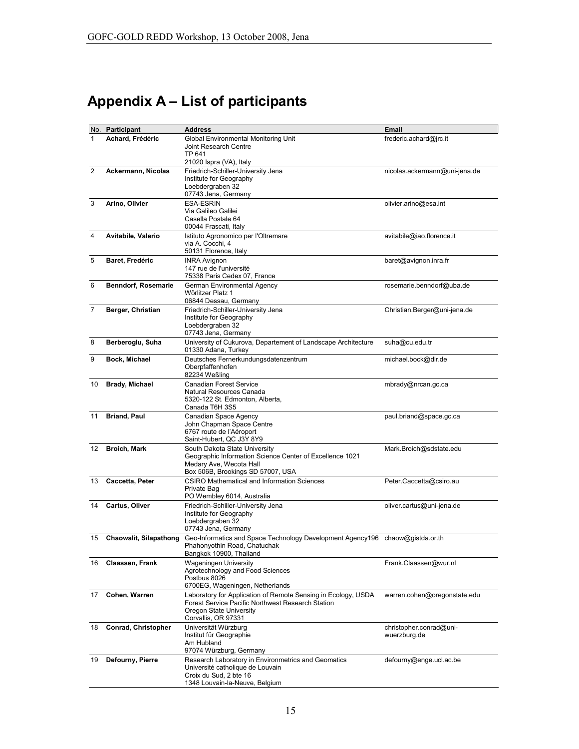# Appendix A - List of participants

| No.            | Participant                | <b>Address</b>                                                                                                                                                       | Email                                   |
|----------------|----------------------------|----------------------------------------------------------------------------------------------------------------------------------------------------------------------|-----------------------------------------|
| 1              | Achard, Frédéric           | Global Environmental Monitoring Unit<br>Joint Research Centre<br>TP 641<br>21020 Ispra (VA), Italy                                                                   | frederic.achard@jrc.it                  |
| $\overline{2}$ | Ackermann, Nicolas         | Friedrich-Schiller-University Jena<br>Institute for Geography<br>Loebdergraben 32<br>07743 Jena, Germany                                                             | nicolas.ackermann@uni-jena.de           |
| 3              | Arino, Olivier             | <b>ESA-ESRIN</b><br>Via Galileo Galilei<br>Casella Postale 64<br>00044 Frascati, Italy                                                                               | olivier.arino@esa.int                   |
| 4              | Avitabile, Valerio         | Istituto Agronomico per l'Oltremare<br>via A. Cocchi, 4<br>50131 Florence, Italy                                                                                     | avitabile@iao.florence.it               |
| 5              | Baret, Fredéric            | <b>INRA Avignon</b><br>147 rue de l'université<br>75338 Paris Cedex 07, France                                                                                       | baret@avignon.inra.fr                   |
| 6              | <b>Benndorf, Rosemarie</b> | German Environmental Agency<br>Wörlitzer Platz 1<br>06844 Dessau, Germany                                                                                            | rosemarie.benndorf@uba.de               |
| 7              | Berger, Christian          | Friedrich-Schiller-University Jena<br>Institute for Geography<br>Loebdergraben 32<br>07743 Jena, Germany                                                             | Christian.Berger@uni-jena.de            |
| 8              | Berberoglu, Suha           | University of Cukurova, Departement of Landscape Architecture<br>01330 Adana, Turkey                                                                                 | suha@cu.edu.tr                          |
| 9              | Bock, Michael              | Deutsches Fernerkundungsdatenzentrum<br>Oberpfaffenhofen<br>82234 Weßling                                                                                            | michael.bock@dlr.de                     |
| 10             | <b>Brady, Michael</b>      | Canadian Forest Service<br>Natural Resources Canada<br>5320-122 St. Edmonton, Alberta,<br>Canada T6H 3S5                                                             | mbrady@nrcan.gc.ca                      |
| 11             | <b>Briand, Paul</b>        | Canadian Space Agency<br>John Chapman Space Centre<br>6767 route de l'Aéroport<br>Saint-Hubert, QC J3Y 8Y9                                                           | paul.briand@space.gc.ca                 |
| 12             | <b>Broich, Mark</b>        | South Dakota State University<br>Geographic Information Science Center of Excellence 1021<br>Medary Ave, Wecota Hall<br>Box 506B, Brookings SD 57007, USA            | Mark.Broich@sdstate.edu                 |
| 13             | Caccetta, Peter            | <b>CSIRO Mathematical and Information Sciences</b><br>Private Bag<br>PO Wembley 6014, Australia                                                                      | Peter.Caccetta@csiro.au                 |
| 14             | Cartus, Oliver             | Friedrich-Schiller-University Jena<br>Institute for Geography<br>Loebdergraben 32<br>07743 Jena, Germany                                                             | oliver.cartus@uni-jena.de               |
| 15             | Chaowalit, Silapathong     | Geo-Informatics and Space Technology Development Agency196 chaow@gistda.or.th<br>Phahonyothin Road, Chatuchak<br>Bangkok 10900, Thailand                             |                                         |
| 16             | Claassen, Frank            | Wageningen University<br>Agrotechnology and Food Sciences<br>Postbus 8026<br>6700EG, Wageningen, Netherlands                                                         | Frank.Claassen@wur.nl                   |
| 17             | Cohen, Warren              | Laboratory for Application of Remote Sensing in Ecology, USDA<br>Forest Service Pacific Northwest Research Station<br>Oregon State University<br>Corvallis, OR 97331 | warren.cohen@oregonstate.edu            |
| 18             | Conrad, Christopher        | Universität Würzburg<br>Institut für Geographie<br>Am Hubland<br>97074 Würzburg, Germany                                                                             | christopher.conrad@uni-<br>wuerzburg.de |
| 19             | Defourny, Pierre           | Research Laboratory in Environmetrics and Geomatics<br>Université catholique de Louvain<br>Croix du Sud, 2 bte 16<br>1348 Louvain-la-Neuve, Belgium                  | defourny@enge.ucl.ac.be                 |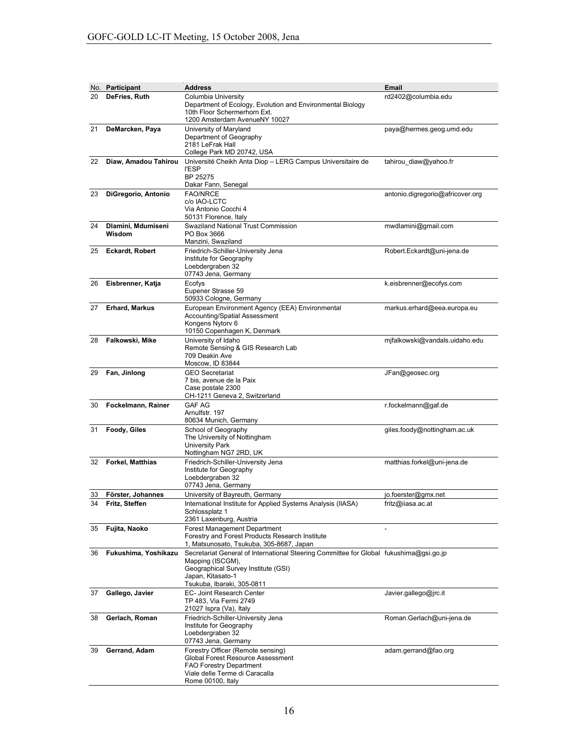|    | No. Participant              | <b>Address</b>                                                                                                                                                                                       | Email                            |
|----|------------------------------|------------------------------------------------------------------------------------------------------------------------------------------------------------------------------------------------------|----------------------------------|
| 20 | DeFries, Ruth                | Columbia University<br>Department of Ecology, Evolution and Environmental Biology<br>10th Floor Schermerhorn Ext.<br>1200 Amsterdam AvenueNY 10027                                                   | rd2402@columbia.edu              |
| 21 | DeMarcken, Paya              | University of Maryland<br>Department of Geography<br>2181 LeFrak Hall<br>College Park MD 20742, USA                                                                                                  | paya@hermes.geog.umd.edu         |
| 22 | Diaw, Amadou Tahirou         | Université Cheikh Anta Diop - LERG Campus Universitaire de<br><b>I'ESP</b><br>BP 25275<br>Dakar Fann, Senegal                                                                                        | tahirou_diaw@yahoo.fr            |
| 23 | DiGregorio, Antonio          | <b>FAO/NRCE</b><br>c/o IAO-LCTC<br>Via Antonio Cocchi 4<br>50131 Florence, Italy                                                                                                                     | antonio.digregorio@africover.org |
| 24 | Dlamini, Mdumiseni<br>Wisdom | Swaziland National Trust Commission<br>PO Box 3666<br>Manzini, Swaziland                                                                                                                             | mwdlamini@gmail.com              |
| 25 | <b>Eckardt, Robert</b>       | Friedrich-Schiller-University Jena<br>Institute for Geography<br>Loebdergraben 32<br>07743 Jena, Germany                                                                                             | Robert.Eckardt@uni-jena.de       |
| 26 | Eisbrenner, Katja            | Ecofys<br>Eupener Strasse 59<br>50933 Cologne, Germany                                                                                                                                               | k.eisbrenner@ecofys.com          |
| 27 | <b>Erhard, Markus</b>        | European Environment Agency (EEA) Environmental<br><b>Accounting/Spatial Assessment</b><br>Kongens Nytory 6<br>10150 Copenhagen K, Denmark                                                           | markus.erhard@eea.europa.eu      |
| 28 | Falkowski, Mike              | University of Idaho<br>Remote Sensing & GIS Research Lab<br>709 Deakin Ave<br>Moscow, ID 83844                                                                                                       | mjfalkowski@vandals.uidaho.edu   |
| 29 | Fan, Jinlong                 | <b>GEO Secretariat</b><br>7 bis, avenue de la Paix<br>Case postale 2300<br>CH-1211 Geneva 2, Switzerland                                                                                             | JFan@geosec.org                  |
| 30 | Fockelmann, Rainer           | <b>GAF AG</b><br>Arnulfstr. 197<br>80634 Munich, Germany                                                                                                                                             | r.fockelmann@gaf.de              |
| 31 | Foody, Giles                 | School of Geography<br>The University of Nottingham<br><b>University Park</b><br>Nottingham NG7 2RD, UK                                                                                              | giles.foody@nottingham.ac.uk     |
| 32 | <b>Forkel, Matthias</b>      | Friedrich-Schiller-University Jena<br>Institute for Geography<br>Loebdergraben 32<br>07743 Jena, Germany                                                                                             | matthias.forkel@uni-jena.de      |
| 33 | Förster, Johannes            | University of Bayreuth, Germany                                                                                                                                                                      | jo.foerster@gmx.net              |
|    | 34 Fritz, Steffen            | International Institute for Applied Systems Analysis (IIASA)<br>Schlossplatz 1<br>2361 Laxenburg, Austria                                                                                            | fritz@iiasa.ac.at                |
| 35 | Fujita, Naoko                | <b>Forest Management Department</b><br>Forestry and Forest Products Research Institute<br>1, Matsunosato, Tsukuba, 305-8687, Japan                                                                   |                                  |
| 36 | Fukushima, Yoshikazu         | Secretariat General of International Steering Committee for Global fukushima@gsi.go.jp<br>Mapping (ISCGM),<br>Geographical Survey Institute (GSI)<br>Japan, Kitasato-1<br>Tsukuba, Ibaraki, 305-0811 |                                  |
| 37 | Gallego, Javier              | EC- Joint Research Center<br>TP 483, Via Fermi 2749<br>21027 Ispra (Va), Italy                                                                                                                       | Javier.gallego@jrc.it            |
| 38 | Gerlach, Roman               | Friedrich-Schiller-University Jena<br>Institute for Geography<br>Loebdergraben 32<br>07743 Jena, Germany                                                                                             | Roman.Gerlach@uni-jena.de        |
| 39 | Gerrand, Adam                | Forestry Officer (Remote sensing)<br>Global Forest Resource Assessment<br><b>FAO Forestry Department</b><br>Viale delle Terme di Caracalla<br>Rome 00100, Italy                                      | adam.gerrand@fao.org             |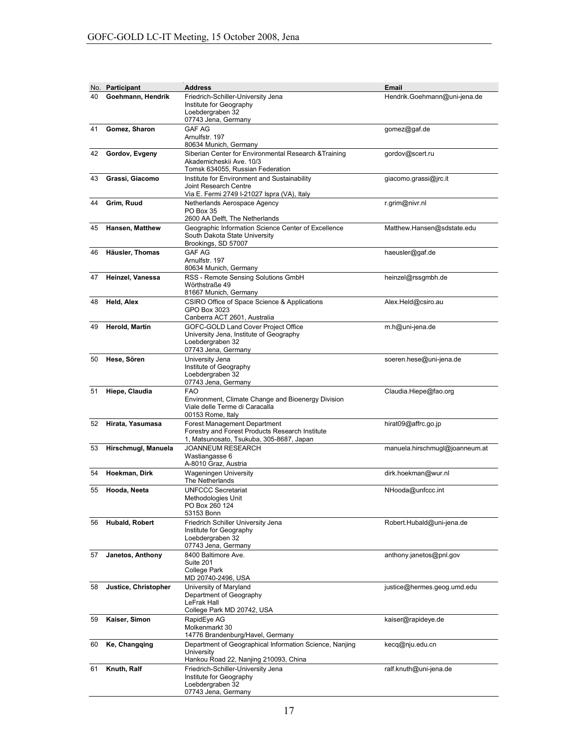|    | No. Participant      | <b>Address</b>                                                                                                                     | <b>Email</b>                   |
|----|----------------------|------------------------------------------------------------------------------------------------------------------------------------|--------------------------------|
| 40 | Goehmann, Hendrik    | Friedrich-Schiller-University Jena<br>Institute for Geography<br>Loebdergraben 32<br>07743 Jena, Germany                           | Hendrik.Goehmann@uni-jena.de   |
| 41 | Gomez, Sharon        | <b>GAF AG</b><br>Arnulfstr. 197<br>80634 Munich, Germany                                                                           | gomez@gaf.de                   |
| 42 | Gordov, Evgeny       | Siberian Center for Environmental Research & Training<br>Akademicheskii Ave. 10/3<br>Tomsk 634055, Russian Federation              | gordov@scert.ru                |
| 43 | Grassi, Giacomo      | Institute for Environment and Sustainability<br>Joint Research Centre<br>Via E. Fermi 2749 I-21027 Ispra (VA), Italy               | giacomo.grassi@jrc.it          |
| 44 | Grim, Ruud           | Netherlands Aerospace Agency<br>PO Box 35<br>2600 AA Delft, The Netherlands                                                        | r.grim@nivr.nl                 |
| 45 | Hansen, Matthew      | Geographic Information Science Center of Excellence<br>South Dakota State University<br>Brookings, SD 57007                        | Matthew.Hansen@sdstate.edu     |
| 46 | Häusler, Thomas      | <b>GAF AG</b><br>Arnulfstr, 197<br>80634 Munich, Germany                                                                           | haeusler@gaf.de                |
| 47 | Heinzel, Vanessa     | RSS - Remote Sensing Solutions GmbH<br>Wörthstraße 49<br>81667 Munich, Germany                                                     | heinzel@rssgmbh.de             |
| 48 | Held, Alex           | CSIRO Office of Space Science & Applications<br>GPO Box 3023<br>Canberra ACT 2601, Australia                                       | Alex.Held@csiro.au             |
| 49 | Herold, Martin       | GOFC-GOLD Land Cover Project Office<br>University Jena, Institute of Geography<br>Loebdergraben 32<br>07743 Jena, Germany          | m.h@uni-jena.de                |
| 50 | Hese, Sören          | University Jena<br>Institute of Geography<br>Loebdergraben 32<br>07743 Jena, Germany                                               | soeren.hese@uni-jena.de        |
| 51 | Hiepe, Claudia       | <b>FAO</b><br>Environment, Climate Change and Bioenergy Division<br>Viale delle Terme di Caracalla<br>00153 Rome, Italy            | Claudia.Hiepe@fao.org          |
| 52 | Hirata, Yasumasa     | <b>Forest Management Department</b><br>Forestry and Forest Products Research Institute<br>1, Matsunosato, Tsukuba, 305-8687, Japan | hirat09@affrc.go.jp            |
| 53 | Hirschmugl, Manuela  | <b>JOANNEUM RESEARCH</b><br>Wastiangasse 6<br>A-8010 Graz, Austria                                                                 | manuela.hirschmugl@joanneum.at |
| 54 | Hoekman, Dirk        | Wageningen University<br>The Netherlands                                                                                           | dirk.hoekman@wur.nl            |
| 55 | Hooda, Neeta         | <b>UNFCCC Secretariat</b><br>Methodologies Unit<br>PO Box 260 124<br>53153 Bonn                                                    | NHooda@unfccc.int              |
| 56 | Hubald, Robert       | Friedrich Schiller University Jena<br>Institute for Geography<br>Loebdergraben 32<br>07743 Jena, Germany                           | Robert.Hubald@uni-jena.de      |
| 57 | Janetos, Anthony     | 8400 Baltimore Ave.<br>Suite 201<br><b>College Park</b><br>MD 20740-2496, USA                                                      | anthony.janetos@pnl.gov        |
| 58 | Justice, Christopher | University of Maryland<br>Department of Geography<br>LeFrak Hall<br>College Park MD 20742, USA                                     | justice@hermes.geog.umd.edu    |
| 59 | Kaiser, Simon        | RapidEye AG<br>Molkenmarkt 30<br>14776 Brandenburg/Havel, Germany                                                                  | kaiser@rapideye.de             |
| 60 | Ke, Changqing        | Department of Geographical Information Science, Nanjing<br>University<br>Hankou Road 22, Nanjing 210093, China                     | kecq@nju.edu.cn                |
| 61 | Knuth, Ralf          | Friedrich-Schiller-University Jena<br>Institute for Geography<br>Loebdergraben 32<br>07743 Jena, Germany                           | ralf.knuth@uni-jena.de         |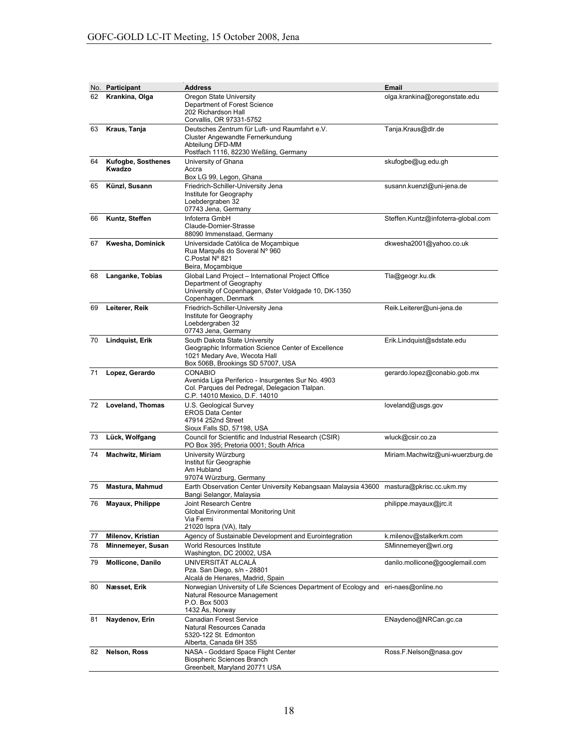|    | No. Participant                     | <b>Address</b>                                                                                                                                               | <b>Email</b>                       |
|----|-------------------------------------|--------------------------------------------------------------------------------------------------------------------------------------------------------------|------------------------------------|
| 62 | Krankina, Olga                      | Oregon State University<br>Department of Forest Science<br>202 Richardson Hall<br>Corvallis, OR 97331-5752                                                   | olga.krankina@oregonstate.edu      |
| 63 | Kraus, Tanja                        | Deutsches Zentrum für Luft- und Raumfahrt e.V.<br>Cluster Angewandte Fernerkundung<br>Abteilung DFD-MM<br>Postfach 1116, 82230 Weßling, Germany              | Tanja.Kraus@dlr.de                 |
| 64 | <b>Kufogbe, Sosthenes</b><br>Kwadzo | University of Ghana<br>Accra<br>Box LG 99, Legon, Ghana                                                                                                      | skufogbe@ug.edu.gh                 |
| 65 | Künzl, Susann                       | Friedrich-Schiller-University Jena<br>Institute for Geography<br>Loebdergraben 32<br>07743 Jena, Germany                                                     | susann.kuenzl@uni-jena.de          |
| 66 | Kuntz, Steffen                      | Infoterra GmbH<br>Claude-Dornier-Strasse<br>88090 Immenstaad, Germany                                                                                        | Steffen.Kuntz@infoterra-global.com |
| 67 | Kwesha, Dominick                    | Universidade Católica de Moçambique<br>Rua Marquês do Soveral Nº 960<br>C.Postal Nº 821<br>Beira, Moçambique                                                 | dkwesha2001@yahoo.co.uk            |
| 68 | Langanke, Tobias                    | Global Land Project - International Project Office<br>Department of Geography<br>University of Copenhagen, Øster Voldgade 10, DK-1350<br>Copenhagen, Denmark | Tla@geogr.ku.dk                    |
| 69 | Leiterer, Reik                      | Friedrich-Schiller-University Jena<br>Institute for Geography<br>Loebdergraben 32<br>07743 Jena, Germany                                                     | Reik.Leiterer@uni-jena.de          |
| 70 | <b>Lindquist, Erik</b>              | South Dakota State University<br>Geographic Information Science Center of Excellence<br>1021 Medary Ave, Wecota Hall<br>Box 506B, Brookings SD 57007, USA    | Erik.Lindquist@sdstate.edu         |
| 71 | Lopez, Gerardo                      | <b>CONABIO</b><br>Avenida Liga Periferico - Insurgentes Sur No. 4903<br>Col. Parques del Pedregal, Delegacion Tlalpan.<br>C.P. 14010 Mexico, D.F. 14010      | gerardo.lopez@conabio.gob.mx       |
| 72 | Loveland, Thomas                    | U.S. Geological Survey<br><b>EROS Data Center</b><br>47914 252nd Street<br>Sioux Falls SD, 57198, USA                                                        | loveland@usgs.gov                  |
| 73 | Lück, Wolfgang                      | Council for Scientific and Industrial Research (CSIR)<br>PO Box 395; Pretoria 0001; South Africa                                                             | wluck@csir.co.za                   |
| 74 | <b>Machwitz, Miriam</b>             | University Würzburg<br>Institut für Geographie<br>Am Hubland<br>97074 Würzburg, Germany                                                                      | Miriam.Machwitz@uni-wuerzburg.de   |
| 75 | Mastura, Mahmud                     | Earth Observation Center University Kebangsaan Malaysia 43600 mastura@pkrisc.cc.ukm.my<br>Bangi Selangor, Malaysia                                           |                                    |
| 76 | Mayaux, Philippe                    | Joint Research Centre<br>Global Environmental Monitoring Unit<br>Via Fermi<br>21020 Ispra (VA), Italy                                                        | philippe.mayaux@jrc.it             |
| 77 | Milenov, Kristian                   | Agency of Sustainable Development and Eurointegration                                                                                                        | k.milenov@stalkerkm.com            |
| 78 | Minnemeyer, Susan                   | World Resources Institute<br>Washington, DC 20002, USA                                                                                                       | SMinnemeyer@wri.org                |
| 79 | <b>Mollicone, Danilo</b>            | UNIVERSITÄT ALCALA<br>Pza. San Diego, s/n - 28801<br>Alcalá de Henares, Madrid, Spain                                                                        | danilo.mollicone@googlemail.com    |
| 80 | Næsset, Erik                        | Norwegian University of Life Sciences Department of Ecology and eri-naes@online.no<br>Natural Resource Management<br>P.O. Box 5003<br>1432 Ås, Norway        |                                    |
| 81 | Naydenov, Erin                      | <b>Canadian Forest Service</b><br>Natural Resources Canada<br>5320-122 St. Edmonton<br>Alberta, Canada 6H 3S5                                                | ENaydeno@NRCan.gc.ca               |
| 82 | Nelson, Ross                        | NASA - Goddard Space Flight Center<br>Biospheric Sciences Branch<br>Greenbelt, Maryland 20771 USA                                                            | Ross.F.Nelson@nasa.gov             |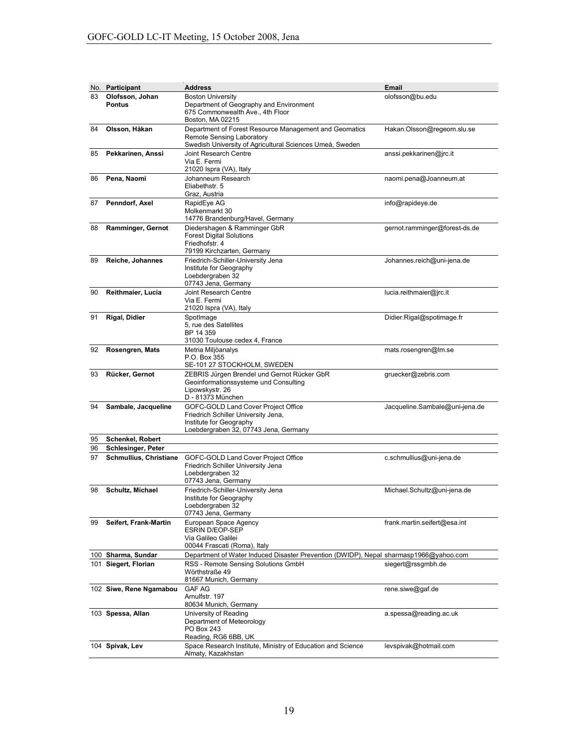|    | No. Participant                  | <b>Address</b>                                                                                                                                  | <b>Email</b>                   |
|----|----------------------------------|-------------------------------------------------------------------------------------------------------------------------------------------------|--------------------------------|
| 83 | Olofsson, Johan<br><b>Pontus</b> | <b>Boston University</b><br>Department of Geography and Environment<br>675 Commonwealth Ave., 4th Floor<br>Boston, MA 02215                     | olofsson@bu.edu                |
| 84 | Olsson, Håkan                    | Department of Forest Resource Management and Geomatics<br>Remote Sensing Laboratory<br>Swedish University of Agricultural Sciences Umeå, Sweden | Hakan.Olsson@regeom.slu.se     |
| 85 | Pekkarinen, Anssi                | Joint Research Centre<br>Via E. Fermi<br>21020 Ispra (VA), Italy                                                                                | anssi.pekkarinen@jrc.it        |
| 86 | Pena, Naomi                      | Johanneum Research<br>Eliabethstr. 5<br>Graz, Austria                                                                                           | naomi.pena@Joanneum.at         |
| 87 | Penndorf, Axel                   | RapidEye AG<br>Molkenmarkt 30<br>14776 Brandenburg/Havel, Germany                                                                               | info@rapideye.de               |
| 88 | Ramminger, Gernot                | Diedershagen & Ramminger GbR<br><b>Forest Digital Solutions</b><br>Friedhofstr. 4<br>79199 Kirchzarten, Germany                                 | gernot.ramminger@forest-ds.de  |
| 89 | Reiche, Johannes                 | Friedrich-Schiller-University Jena<br>Institute for Geography<br>Loebdergraben 32<br>07743 Jena, Germany                                        | Johannes.reich@uni-jena.de     |
| 90 | Reithmaier, Lucia                | Joint Research Centre<br>Via E. Fermi<br>21020 Ispra (VA), Italy                                                                                | lucia.reithmaier@jrc.it        |
| 91 | Rigal, Didier                    | SpotImage<br>5, rue des Satellites<br>BP 14 359<br>31030 Toulouse cedex 4, France                                                               | Didier.Rigal@spotimage.fr      |
| 92 | Rosengren, Mats                  | Metria Miljöanalys<br>P.O. Box 355<br>SE-101 27 STOCKHOLM, SWEDEN                                                                               | mats.rosengren@lm.se           |
| 93 | Rücker, Gernot                   | ZEBRIS Jürgen Brendel und Gernot Rücker GbR<br>Geoinformationssysteme und Consulting<br>Lipowskystr. 26<br>D - 81373 München                    | gruecker@zebris.com            |
| 94 | Sambale, Jacqueline              | GOFC-GOLD Land Cover Project Office<br>Friedrich Schiller University Jena,<br>Institute for Geography<br>Loebdergraben 32, 07743 Jena, Germany  | Jacqueline.Sambale@uni-jena.de |
| 95 | <b>Schenkel, Robert</b>          |                                                                                                                                                 |                                |
| 96 | <b>Schlesinger, Peter</b>        |                                                                                                                                                 |                                |
| 97 | <b>Schmullius, Christiane</b>    | GOFC-GOLD Land Cover Project Office<br>Friedrich Schiller University Jena<br>Loebdergraben 32<br>07743 Jena, Germany                            | c.schmullius@uni-jena.de       |
| 98 | Schultz, Michael                 | Friedrich-Schiller-University Jena<br>Institute for Geography<br>Loebdergraben 32<br>07743 Jena, Germany                                        | Michael.Schultz@uni-jena.de    |
| 99 | Seifert, Frank-Martin            | European Space Agency<br><b>ESRIN D/EOP-SEP</b><br>Via Galileo Galilei<br>00044 Frascati (Roma), Italy                                          | frank.martin.seifert@esa.int   |
|    | 100 Sharma, Sundar               | Department of Water Induced Disaster Prevention (DWIDP), Nepal sharmasp1966@yahoo.com                                                           |                                |
|    | 101 Siegert, Florian             | RSS - Remote Sensing Solutions GmbH<br>Wörthstraße 49<br>81667 Munich, Germany                                                                  | siegert@rssgmbh.de             |
|    | 102 Siwe, Rene Ngamabou          | <b>GAF AG</b><br>Arnulfstr. 197<br>80634 Munich, Germany                                                                                        | rene.siwe@gaf.de               |
|    | 103 Spessa, Allan                | University of Reading<br>Department of Meteorology<br>PO Box 243<br>Reading, RG6 6BB, UK                                                        | a.spessa@reading.ac.uk         |
|    | 104 Spivak, Lev                  | Space Research Institute, Ministry of Education and Science<br>Almaty, Kazakhstan                                                               | levspivak@hotmail.com          |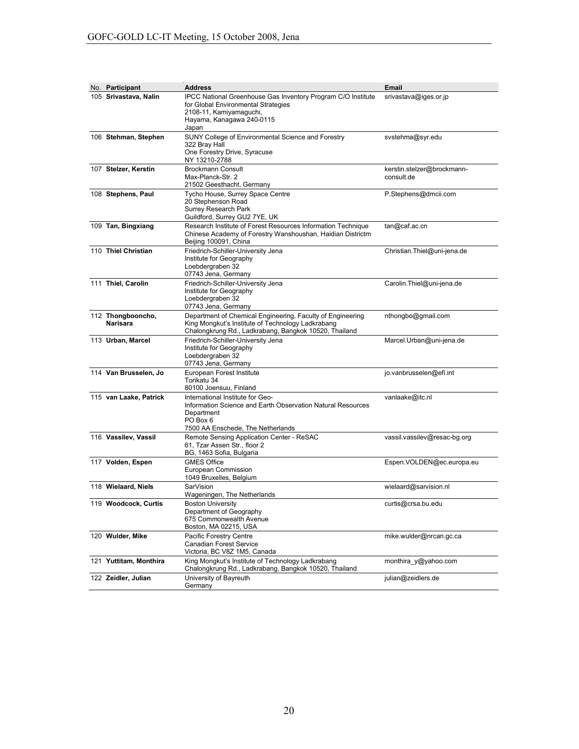| No. Participant               | <b>Address</b>                                                                                                                                                              | Email                                    |
|-------------------------------|-----------------------------------------------------------------------------------------------------------------------------------------------------------------------------|------------------------------------------|
| 105 Srivastava, Nalin         | <b>IPCC National Greenhouse Gas Inventory Program C/O Institute</b><br>for Global Environmental Strategies<br>2108-11, Kamiyamaguchi,<br>Hayama, Kanagawa 240-0115<br>Japan | srivastava@iges.or.jp                    |
| 106 Stehman, Stephen          | SUNY College of Environmental Science and Forestry<br>322 Bray Hall<br>One Forestry Drive, Syracuse<br>NY 13210-2788                                                        | svstehma@syr.edu                         |
| 107 Stelzer, Kerstin          | <b>Brockmann Consult</b><br>Max-Planck-Str. 2<br>21502 Geesthacht, Germany                                                                                                  | kerstin.stelzer@brockmann-<br>consult.de |
| 108 Stephens, Paul            | Tycho House, Surrey Space Centre<br>20 Stephenson Road<br><b>Surrey Research Park</b><br>Guildford, Surrey GU2 7YE, UK                                                      | P.Stephens@dmcii.com                     |
| 109 Tan, Bingxiang            | Research Institute of Forest Resources Information Technique<br>Chinese Academy of Forestry Wanshoushan, Haidian Districtm<br>Beijing 100091, China                         | tan@caf.ac.cn                            |
| 110 Thiel Christian           | Friedrich-Schiller-University Jena<br>Institute for Geography<br>Loebdergraben 32<br>07743 Jena, Germany                                                                    | Christian.Thiel@uni-jena.de              |
| 111 Thiel, Carolin            | Friedrich-Schiller-University Jena<br>Institute for Geography<br>Loebdergraben 32<br>07743 Jena, Germany                                                                    | Carolin.Thiel@uni-jena.de                |
| 112 Thongbooncho,<br>Narisara | Department of Chemical Engineering, Faculty of Engineering<br>King Mongkut's Institute of Technology Ladkrabang<br>Chalongkrung Rd., Ladkrabang, Bangkok 10520, Thailand    | nthongbo@gmail.com                       |
| 113 Urban, Marcel             | Friedrich-Schiller-University Jena<br>Institute for Geography<br>Loebdergraben 32<br>07743 Jena, Germany                                                                    | Marcel.Urban@uni-jena.de                 |
| 114 Van Brusselen, Jo         | European Forest Institute<br>Torikatu 34<br>80100 Joensuu, Finland                                                                                                          | jo.vanbrusselen@efi.int                  |
| 115 van Laake, Patrick        | International Institute for Geo-<br>Information Science and Earth Observation Natural Resources<br>Department<br>PO Box 6<br>7500 AA Enschede, The Netherlands              | vanlaake@itc.nl                          |
| 116 Vassilev, Vassil          | Remote Sensing Application Center - ReSAC<br>61, Tzar Assen Str., floor 2<br>BG, 1463 Sofia, Bulgaria                                                                       | vassil.vassilev@resac-bg.org             |
| 117 Volden, Espen             | <b>GMES Office</b><br>European Commission<br>1049 Bruxelles, Belgium                                                                                                        | Espen.VOLDEN@ec.europa.eu                |
| 118 Wielaard, Niels           | <b>SarVision</b><br>Wageningen, The Netherlands                                                                                                                             | wielaard@sarvision.nl                    |
| 119 Woodcock, Curtis          | <b>Boston University</b><br>Department of Geography<br>675 Commonwealth Avenue<br>Boston, MA 02215, USA                                                                     | curtis@crsa.bu.edu                       |
| 120 Wulder, Mike              | Pacific Forestry Centre<br><b>Canadian Forest Service</b><br>Victoria, BC V8Z 1M5, Canada                                                                                   | mike.wulder@nrcan.gc.ca                  |
| 121 Yuttitam, Monthira        | King Mongkut's Institute of Technology Ladkrabang<br>Chalongkrung Rd., Ladkrabang, Bangkok 10520, Thailand                                                                  | monthira_y@yahoo.com                     |
| 122 Zeidler, Julian           | University of Bayreuth<br>Germany                                                                                                                                           | julian@zeidlers.de                       |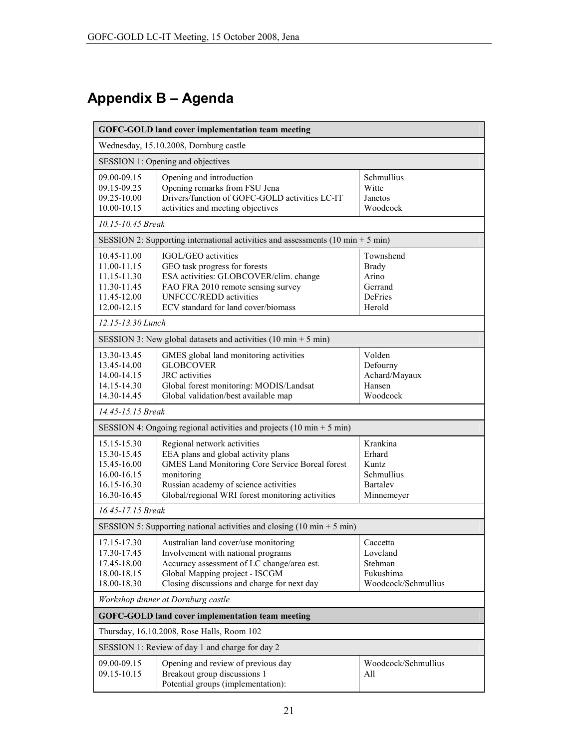# Appendix B - Agenda

| <b>GOFC-GOLD land cover implementation team meeting</b>                                |                                                                                                                                                                                                                                  |                                                                            |  |
|----------------------------------------------------------------------------------------|----------------------------------------------------------------------------------------------------------------------------------------------------------------------------------------------------------------------------------|----------------------------------------------------------------------------|--|
| Wednesday, 15.10.2008, Dornburg castle                                                 |                                                                                                                                                                                                                                  |                                                                            |  |
|                                                                                        | SESSION 1: Opening and objectives                                                                                                                                                                                                |                                                                            |  |
| 09.00-09.15<br>09.15-09.25<br>09.25-10.00<br>10.00-10.15                               | Opening and introduction<br>Opening remarks from FSU Jena<br>Drivers/function of GOFC-GOLD activities LC-IT<br>activities and meeting objectives                                                                                 | Schmullius<br>Witte<br>Janetos<br>Woodcock                                 |  |
| 10.15-10.45 Break                                                                      |                                                                                                                                                                                                                                  |                                                                            |  |
|                                                                                        | SESSION 2: Supporting international activities and assessments (10 min $+$ 5 min)                                                                                                                                                |                                                                            |  |
| 10.45-11.00<br>11.00-11.15<br>11.15-11.30<br>11.30-11.45<br>11.45-12.00<br>12.00-12.15 | IGOL/GEO activities<br>GEO task progress for forests<br>ESA activities: GLOBCOVER/clim. change<br>FAO FRA 2010 remote sensing survey<br><b>UNFCCC/REDD</b> activities<br>ECV standard for land cover/biomass                     | Townshend<br><b>Brady</b><br>Arino<br>Gerrand<br>DeFries<br>Herold         |  |
| 12.15-13.30 Lunch                                                                      |                                                                                                                                                                                                                                  |                                                                            |  |
|                                                                                        | SESSION 3: New global datasets and activities $(10 \text{ min} + 5 \text{ min})$                                                                                                                                                 |                                                                            |  |
| 13.30-13.45<br>13.45-14.00<br>14.00-14.15<br>14.15-14.30<br>14.30-14.45                | GMES global land monitoring activities<br><b>GLOBCOVER</b><br><b>JRC</b> activities<br>Global forest monitoring: MODIS/Landsat<br>Global validation/best available map                                                           | Volden<br>Defourny<br>Achard/Mayaux<br>Hansen<br>Woodcock                  |  |
| 14.45-15.15 Break                                                                      |                                                                                                                                                                                                                                  |                                                                            |  |
|                                                                                        | SESSION 4: Ongoing regional activities and projects $(10 \text{ min} + 5 \text{ min})$                                                                                                                                           |                                                                            |  |
| 15.15-15.30<br>15.30-15.45<br>15.45-16.00<br>16.00-16.15<br>16.15-16.30<br>16.30-16.45 | Regional network activities<br>EEA plans and global activity plans<br>GMES Land Monitoring Core Service Boreal forest<br>monitoring<br>Russian academy of science activities<br>Global/regional WRI forest monitoring activities | Krankina<br>Erhard<br>Kuntz<br>Schmullius<br><b>Bartalev</b><br>Minnemeyer |  |
| 16.45-17.15 Break                                                                      |                                                                                                                                                                                                                                  |                                                                            |  |
|                                                                                        | SESSION 5: Supporting national activities and closing $(10 \text{ min} + 5 \text{ min})$                                                                                                                                         |                                                                            |  |
| 17.15-17.30<br>17.30-17.45<br>17.45-18.00<br>18.00-18.15<br>18.00-18.30                | Australian land cover/use monitoring<br>Involvement with national programs<br>Accuracy assessment of LC change/area est.<br>Global Mapping project - ISCGM<br>Closing discussions and charge for next day                        | Caccetta<br>Loveland<br>Stehman<br>Fukushima<br>Woodcock/Schmullius        |  |
| Workshop dinner at Dornburg castle                                                     |                                                                                                                                                                                                                                  |                                                                            |  |
| <b>GOFC-GOLD land cover implementation team meeting</b>                                |                                                                                                                                                                                                                                  |                                                                            |  |
| Thursday, 16.10.2008, Rose Halls, Room 102                                             |                                                                                                                                                                                                                                  |                                                                            |  |
|                                                                                        | SESSION 1: Review of day 1 and charge for day 2                                                                                                                                                                                  |                                                                            |  |
| 09.00-09.15<br>09.15-10.15                                                             | Opening and review of previous day<br>Breakout group discussions 1<br>Potential groups (implementation):                                                                                                                         | Woodcock/Schmullius<br>All                                                 |  |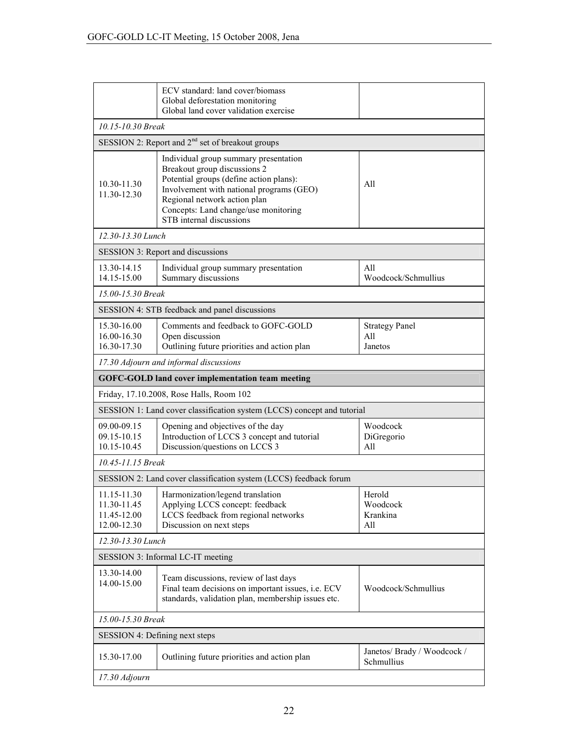|                                                          | ECV standard: land cover/biomass<br>Global deforestation monitoring<br>Global land cover validation exercise                                                                                                                                                     |                                           |  |  |  |
|----------------------------------------------------------|------------------------------------------------------------------------------------------------------------------------------------------------------------------------------------------------------------------------------------------------------------------|-------------------------------------------|--|--|--|
|                                                          | 10.15-10.30 Break                                                                                                                                                                                                                                                |                                           |  |  |  |
|                                                          | SESSION 2: Report and 2 <sup>nd</sup> set of breakout groups                                                                                                                                                                                                     |                                           |  |  |  |
| 10.30-11.30<br>11.30-12.30                               | Individual group summary presentation<br>Breakout group discussions 2<br>Potential groups (define action plans):<br>Involvement with national programs (GEO)<br>Regional network action plan<br>Concepts: Land change/use monitoring<br>STB internal discussions | All                                       |  |  |  |
| 12.30-13.30 Lunch                                        |                                                                                                                                                                                                                                                                  |                                           |  |  |  |
|                                                          | <b>SESSION 3: Report and discussions</b>                                                                                                                                                                                                                         |                                           |  |  |  |
| 13.30-14.15<br>14.15-15.00                               | Individual group summary presentation<br>Summary discussions                                                                                                                                                                                                     | All<br>Woodcock/Schmullius                |  |  |  |
| 15.00-15.30 Break                                        |                                                                                                                                                                                                                                                                  |                                           |  |  |  |
|                                                          | SESSION 4: STB feedback and panel discussions                                                                                                                                                                                                                    |                                           |  |  |  |
| 15.30-16.00<br>16.00-16.30<br>16.30-17.30                | Comments and feedback to GOFC-GOLD<br>Open discussion<br>Outlining future priorities and action plan                                                                                                                                                             | <b>Strategy Panel</b><br>All<br>Janetos   |  |  |  |
|                                                          | 17.30 Adjourn and informal discussions                                                                                                                                                                                                                           |                                           |  |  |  |
|                                                          | <b>GOFC-GOLD land cover implementation team meeting</b>                                                                                                                                                                                                          |                                           |  |  |  |
|                                                          | Friday, 17.10.2008, Rose Halls, Room 102                                                                                                                                                                                                                         |                                           |  |  |  |
|                                                          | SESSION 1: Land cover classification system (LCCS) concept and tutorial                                                                                                                                                                                          |                                           |  |  |  |
| 09.00-09.15<br>09.15-10.15<br>10.15-10.45                | Opening and objectives of the day<br>Introduction of LCCS 3 concept and tutorial<br>Discussion/questions on LCCS 3                                                                                                                                               | Woodcock<br>DiGregorio<br>All             |  |  |  |
| 10.45-11.15 Break                                        |                                                                                                                                                                                                                                                                  |                                           |  |  |  |
|                                                          | SESSION 2: Land cover classification system (LCCS) feedback forum                                                                                                                                                                                                |                                           |  |  |  |
| 11.15-11.30<br>11.30-11.45<br>11.45-12.00<br>12.00-12.30 | Harmonization/legend translation<br>Applying LCCS concept: feedback<br>LCCS feedback from regional networks<br>Discussion on next steps                                                                                                                          | Herold<br>Woodcock<br>Krankina<br>All     |  |  |  |
| 12.30-13.30 Lunch                                        |                                                                                                                                                                                                                                                                  |                                           |  |  |  |
| SESSION 3: Informal LC-IT meeting                        |                                                                                                                                                                                                                                                                  |                                           |  |  |  |
| 13.30-14.00<br>14.00-15.00                               | Team discussions, review of last days<br>Final team decisions on important issues, i.e. ECV<br>standards, validation plan, membership issues etc.                                                                                                                | Woodcock/Schmullius                       |  |  |  |
| 15.00-15.30 Break                                        |                                                                                                                                                                                                                                                                  |                                           |  |  |  |
|                                                          | SESSION 4: Defining next steps                                                                                                                                                                                                                                   |                                           |  |  |  |
| 15.30-17.00                                              | Outlining future priorities and action plan                                                                                                                                                                                                                      | Janetos/ Brady / Woodcock /<br>Schmullius |  |  |  |
| 17.30 Adjourn                                            |                                                                                                                                                                                                                                                                  |                                           |  |  |  |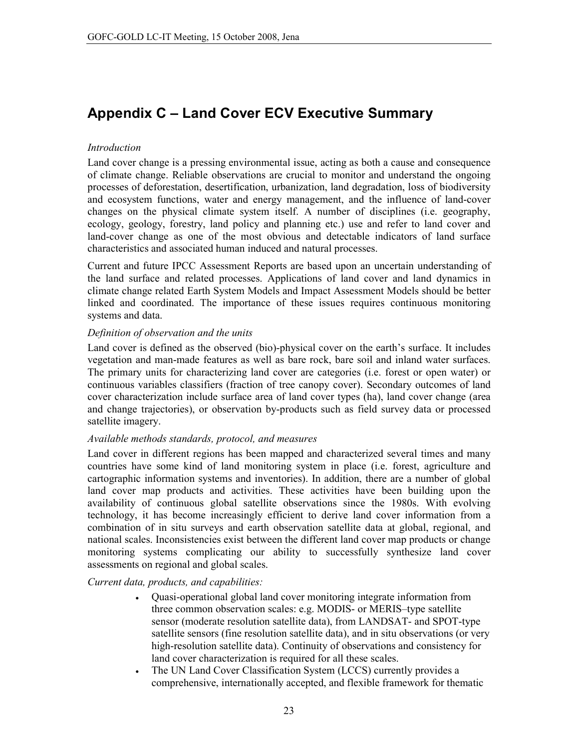# **Appendix C - Land Cover ECV Executive Summary**

## *Introduction*

Land cover change is a pressing environmental issue, acting as both a cause and consequence of climate change. Reliable observations are crucial to monitor and understand the ongoing processes of deforestation, desertification, urbanization, land degradation, loss of biodiversity and ecosystem functions, water and energy management, and the influence of land-cover changes on the physical climate system itself. A number of disciplines (i.e. geography, ecology, geology, forestry, land policy and planning etc.) use and refer to land cover and land-cover change as one of the most obvious and detectable indicators of land surface characteristics and associated human induced and natural processes.

Current and future IPCC Assessment Reports are based upon an uncertain understanding of the land surface and related processes. Applications of land cover and land dynamics in climate change related Earth System Models and Impact Assessment Models should be better linked and coordinated. The importance of these issues requires continuous monitoring systems and data.

## Definition of observation and the units

Land cover is defined as the observed (bio)-physical cover on the earth's surface. It includes vegetation and man-made features as well as bare rock, bare soil and inland water surfaces. The primary units for characterizing land cover are categories (i.e. forest or open water) or continuous variables classifiers (fraction of tree canopy cover). Secondary outcomes of land cover characterization include surface area of land cover types (ha), land cover change (area and change trajectories), or observation by-products such as field survey data or processed satellite imagery.

## Available methods standards, protocol, and measures

Land cover in different regions has been mapped and characterized several times and many countries have some kind of land monitoring system in place (i.e. forest, agriculture and cartographic information systems and inventories). In addition, there are a number of global land cover map products and activities. These activities have been building upon the availability of continuous global satellite observations since the 1980s. With evolving technology, it has become increasingly efficient to derive land cover information from a combination of in situ surveys and earth observation satellite data at global, regional, and national scales. Inconsistencies exist between the different land cover map products or change monitoring systems complicating our ability to successfully synthesize land cover assessments on regional and global scales.

## Current data, products, and capabilities:

- Quasi-operational global land cover monitoring integrate information from  $\bullet$ three common observation scales: e.g. MODIS- or MERIS-type satellite sensor (moderate resolution satellite data), from LANDSAT- and SPOT-type satellite sensors (fine resolution satellite data), and in situ observations (or very high-resolution satellite data). Continuity of observations and consistency for land cover characterization is required for all these scales.
- The UN Land Cover Classification System (LCCS) currently provides a  $\bullet$  . comprehensive, internationally accepted, and flexible framework for thematic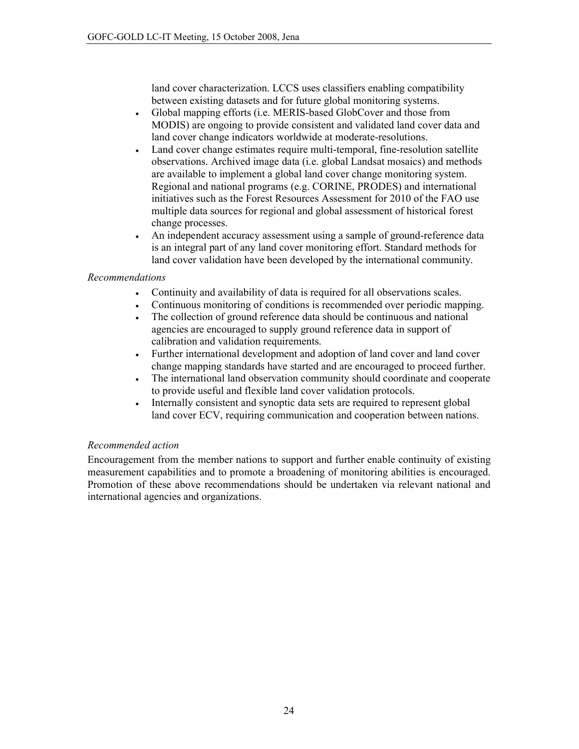land cover characterization. LCCS uses classifiers enabling compatibility between existing datasets and for future global monitoring systems.

- Global mapping efforts (i.e. MERIS-based GlobCover and those from  $\bullet$ MODIS) are ongoing to provide consistent and validated land cover data and land cover change indicators worldwide at moderate-resolutions.
- Land cover change estimates require multi-temporal, fine-resolution satellite  $\bullet$ observations. Archived image data (i.e. global Landsat mosaics) and methods are available to implement a global land cover change monitoring system. Regional and national programs (e.g. CORINE, PRODES) and international initiatives such as the Forest Resources Assessment for 2010 of the FAO use multiple data sources for regional and global assessment of historical forest change processes.
- An independent accuracy assessment using a sample of ground-reference data  $\bullet$ is an integral part of any land cover monitoring effort. Standard methods for land cover validation have been developed by the international community.

## **Recommendations**

- Continuity and availability of data is required for all observations scales.
- Continuous monitoring of conditions is recommended over periodic mapping.  $\bullet$
- The collection of ground reference data should be continuous and national  $\bullet$ agencies are encouraged to supply ground reference data in support of calibration and validation requirements.
- Further international development and adoption of land cover and land cover  $\bullet$ change mapping standards have started and are encouraged to proceed further.
- The international land observation community should coordinate and cooperate  $\bullet$ to provide useful and flexible land cover validation protocols.
- Internally consistent and synoptic data sets are required to represent global  $\bullet$ land cover ECV, requiring communication and cooperation between nations.

## Recommended action

Encouragement from the member nations to support and further enable continuity of existing measurement capabilities and to promote a broadening of monitoring abilities is encouraged. Promotion of these above recommendations should be undertaken via relevant national and international agencies and organizations.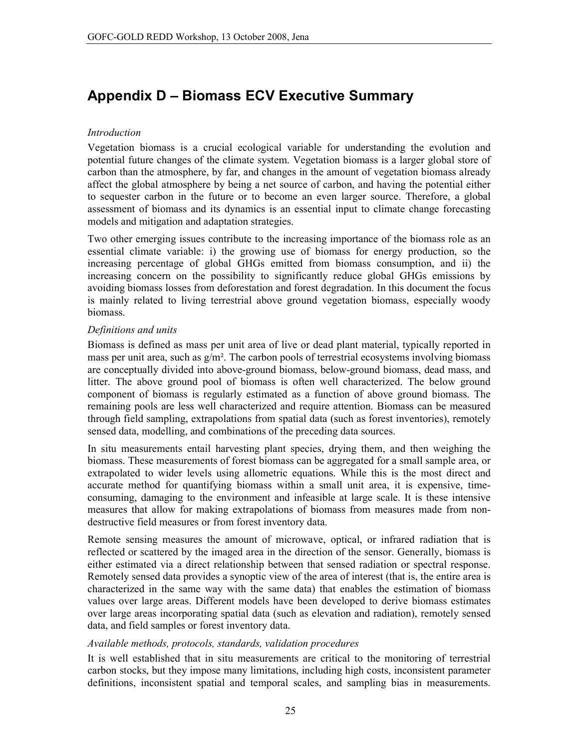# **Appendix D - Biomass ECV Executive Summary**

## *Introduction*

Vegetation biomass is a crucial ecological variable for understanding the evolution and potential future changes of the climate system. Vegetation biomass is a larger global store of carbon than the atmosphere, by far, and changes in the amount of vegetation biomass already affect the global atmosphere by being a net source of carbon, and having the potential either to sequester carbon in the future or to become an even larger source. Therefore, a global assessment of biomass and its dynamics is an essential input to climate change forecasting models and mitigation and adaptation strategies.

Two other emerging issues contribute to the increasing importance of the biomass role as an essential climate variable: i) the growing use of biomass for energy production, so the increasing percentage of global GHGs emitted from biomass consumption, and ii) the increasing concern on the possibility to significantly reduce global GHGs emissions by avoiding biomass losses from deforestation and forest degradation. In this document the focus is mainly related to living terrestrial above ground vegetation biomass, especially woody biomass.

## Definitions and units

Biomass is defined as mass per unit area of live or dead plant material, typically reported in mass per unit area, such as  $g/m^2$ . The carbon pools of terrestrial ecosystems involving biomass are conceptually divided into above-ground biomass, below-ground biomass, dead mass, and litter. The above ground pool of biomass is often well characterized. The below ground component of biomass is regularly estimated as a function of above ground biomass. The remaining pools are less well characterized and require attention. Biomass can be measured through field sampling, extrapolations from spatial data (such as forest inventories), remotely sensed data, modelling, and combinations of the preceding data sources.

In situ measurements entail harvesting plant species, drying them, and then weighing the biomass. These measurements of forest biomass can be aggregated for a small sample area, or extrapolated to wider levels using allometric equations. While this is the most direct and accurate method for quantifying biomass within a small unit area, it is expensive, timeconsuming, damaging to the environment and infeasible at large scale. It is these intensive measures that allow for making extrapolations of biomass from measures made from nondestructive field measures or from forest inventory data.

Remote sensing measures the amount of microwave, optical, or infrared radiation that is reflected or scattered by the imaged area in the direction of the sensor. Generally, biomass is either estimated via a direct relationship between that sensed radiation or spectral response. Remotely sensed data provides a synoptic view of the area of interest (that is, the entire area is characterized in the same way with the same data) that enables the estimation of biomass values over large areas. Different models have been developed to derive biomass estimates over large areas incorporating spatial data (such as elevation and radiation), remotely sensed data, and field samples or forest inventory data.

## Available methods, protocols, standards, validation procedures

It is well established that in situ measurements are critical to the monitoring of terrestrial carbon stocks, but they impose many limitations, including high costs, inconsistent parameter definitions, inconsistent spatial and temporal scales, and sampling bias in measurements.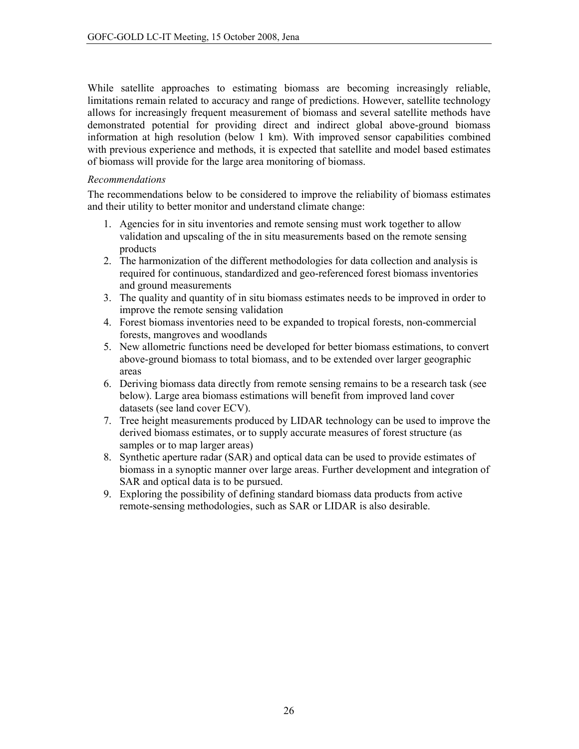While satellite approaches to estimating biomass are becoming increasingly reliable, limitations remain related to accuracy and range of predictions. However, satellite technology allows for increasingly frequent measurement of biomass and several satellite methods have demonstrated potential for providing direct and indirect global above-ground biomass information at high resolution (below 1 km). With improved sensor capabilities combined with previous experience and methods, it is expected that satellite and model based estimates of biomass will provide for the large area monitoring of biomass.

## **Recommendations**

The recommendations below to be considered to improve the reliability of biomass estimates and their utility to better monitor and understand climate change:

- 1. Agencies for in situ inventories and remote sensing must work together to allow validation and upscaling of the in situ measurements based on the remote sensing products
- 2. The harmonization of the different methodologies for data collection and analysis is required for continuous, standardized and geo-referenced forest biomass inventories and ground measurements
- 3. The quality and quantity of in situ biomass estimates needs to be improved in order to improve the remote sensing validation
- 4. Forest biomass inventories need to be expanded to tropical forests, non-commercial forests, mangroves and woodlands
- 5. New allometric functions need be developed for better biomass estimations, to convert above-ground biomass to total biomass, and to be extended over larger geographic areas
- 6. Deriving biomass data directly from remote sensing remains to be a research task (see below). Large area biomass estimations will benefit from improved land cover datasets (see land cover ECV).
- 7. Tree height measurements produced by LIDAR technology can be used to improve the derived biomass estimates, or to supply accurate measures of forest structure (as samples or to map larger areas)
- 8. Synthetic aperture radar (SAR) and optical data can be used to provide estimates of biomass in a synoptic manner over large areas. Further development and integration of SAR and optical data is to be pursued.
- 9. Exploring the possibility of defining standard biomass data products from active remote-sensing methodologies, such as SAR or LIDAR is also desirable.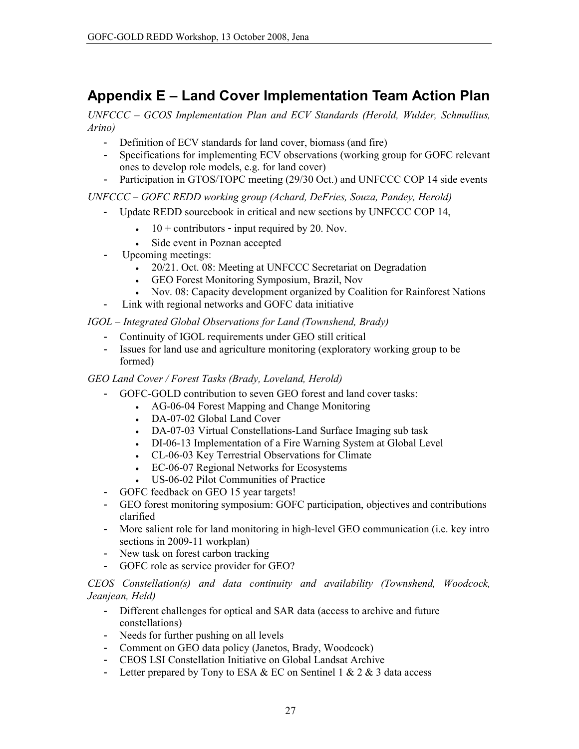# Appendix E – Land Cover Implementation Team Action Plan

UNFCCC – GCOS Implementation Plan and ECV Standards (Herold, Wulder, Schmullius,  $A$ rino)

- Definition of ECV standards for land cover, biomass (and fire)
- Specifications for implementing ECV observations (working group for GOFC relevant ones to develop role models, e.g. for land cover)
- Participation in GTOS/TOPC meeting (29/30 Oct.) and UNFCCC COP 14 side events

UNFCCC - GOFC REDD working group (Achard, DeFries, Souza, Pandey, Herold)

- Update REDD sourcebook in critical and new sections by UNFCCC COP 14,
	- $10 +$  contributors input required by 20. Nov.
	- Side event in Poznan accepted  $\bullet$
- Upcoming meetings:
	- 20/21. Oct. 08: Meeting at UNFCCC Secretariat on Degradation
	- GEO Forest Monitoring Symposium, Brazil, Nov
	- Nov. 08: Capacity development organized by Coalition for Rainforest Nations
- Link with regional networks and GOFC data initiative  $\Box$

## IGOL - Integrated Global Observations for Land (Townshend, Brady)

- Continuity of IGOL requirements under GEO still critical
- Issues for land use and agriculture monitoring (exploratory working group to be formed)

## GEO Land Cover / Forest Tasks (Brady, Loveland, Herold)

- GOFC-GOLD contribution to seven GEO forest and land cover tasks:  $\mathbf{L}^{\text{max}}$ 
	- AG-06-04 Forest Mapping and Change Monitoring
	- DA-07-02 Global Land Cover
	- DA-07-03 Virtual Constellations-Land Surface Imaging sub task
	- DI-06-13 Implementation of a Fire Warning System at Global Level
	- CL-06-03 Key Terrestrial Observations for Climate
	- EC-06-07 Regional Networks for Ecosystems
	- US-06-02 Pilot Communities of Practice
- GOFC feedback on GEO 15 year targets!
- GEO forest monitoring symposium: GOFC participation, objectives and contributions clarified
- More salient role for land monitoring in high-level GEO communication (i.e. key intro sections in 2009-11 workplan)
- New task on forest carbon tracking
- GOFC role as service provider for GEO?  $\Delta \sim 10^4$

CEOS Constellation(s) and data continuity and availability (Townshend, Woodcock, Jeanjean, Held)

- Different challenges for optical and SAR data (access to archive and future constellations)
- Needs for further pushing on all levels
- Comment on GEO data policy (Janetos, Brady, Woodcock)
- CEOS LSI Constellation Initiative on Global Landsat Archive
- Letter prepared by Tony to ESA & EC on Sentinel  $1 \& 2 \& 3$  data access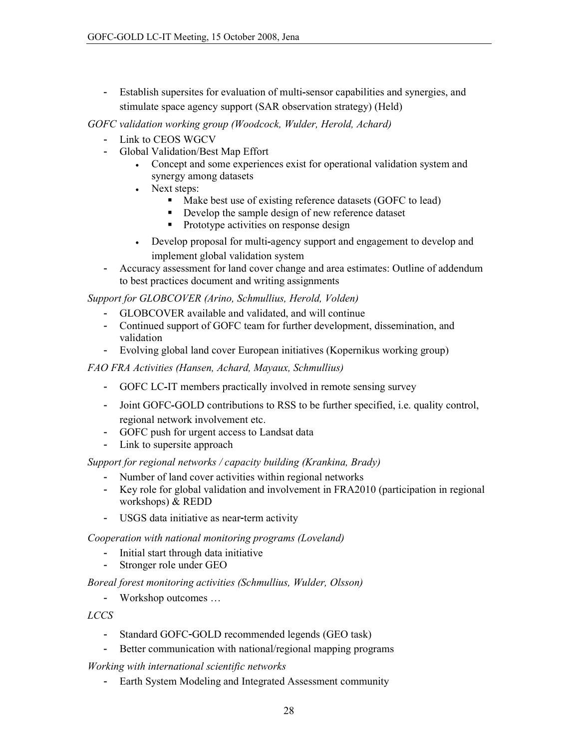- Establish supersites for evaluation of multi-sensor capabilities and synergies, and stimulate space agency support (SAR observation strategy) (Held)

GOFC validation working group (Woodcock, Wulder, Herold, Achard)

- Link to CEOS WGCV
- Global Validation/Best Map Effort
	- Concept and some experiences exist for operational validation system and  $\bullet$  . synergy among datasets
	- Next steps:  $\bullet$ 
		- Make best use of existing reference datasets (GOFC to lead)
		- Develop the sample design of new reference dataset
		- Prototype activities on response design  $\blacksquare$
	- Develop proposal for multi-agency support and engagement to develop and  $\bullet$ implement global validation system
- Accuracy assessment for land cover change and area estimates: Outline of addendum  $\overline{a}$ to best practices document and writing assignments

Support for GLOBCOVER (Arino, Schmullius, Herold, Volden)

- GLOBCOVER available and validated, and will continue
- Continued support of GOFC team for further development, dissemination, and validation
- Evolving global land cover European initiatives (Kopernikus working group)

FAO FRA Activities (Hansen, Achard, Mayaux, Schmullius)

- GOFC LC-IT members practically involved in remote sensing survey
- Joint GOFC-GOLD contributions to RSS to be further specified, i.e. quality control, regional network involvement etc.
- GOFC push for urgent access to Landsat data
- Link to supersite approach

Support for regional networks / capacity building (Krankina, Brady)

- Number of land cover activities within regional networks
- Key role for global validation and involvement in FRA2010 (participation in regional workshops) & REDD
- USGS data initiative as near-term activity

Cooperation with national monitoring programs (Loveland)

- Initial start through data initiative
- $\mathbf{r}$ Stronger role under GEO

Boreal forest monitoring activities (Schmullius, Wulder, Olsson)

- Workshop outcomes ...

**LCCS** 

- Standard GOFC-GOLD recommended legends (GEO task)
- Better communication with national/regional mapping programs

Working with international scientific networks

- Earth System Modeling and Integrated Assessment community